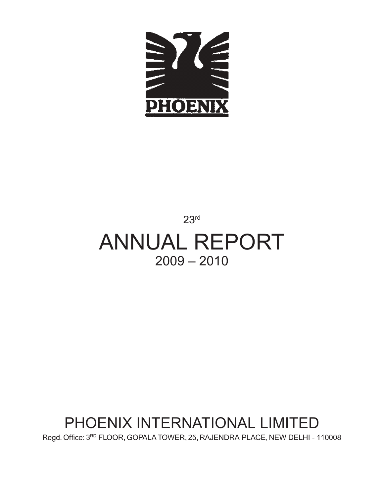

# 23rd ANNUAL REPORT 2009 – 2010

# PHOENIX INTERNATIONAL LIMITED

Regd. Office: 3RD FLOOR, GOPALA TOWER, 25, RAJENDRA PLACE, NEW DELHI - 110008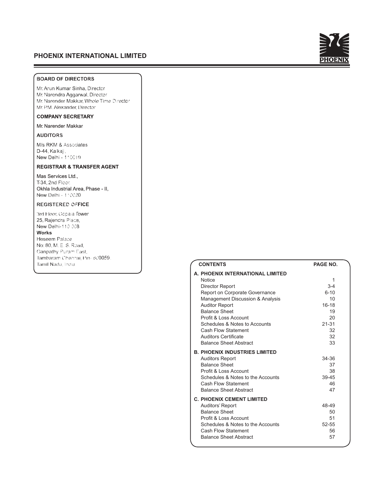

### **BOARD OF DIRECTORS**

Mr. Arun Kumar Sinha, Director Mr. Narendra Aggarwal, Director Mr. Narender Makkar, Whole Time Director Mr. P.M. Alexander, Director

### **COMPANY SECRETARY**

Mr. Narender Makkar

### **AUDITORS**

M/s RKM & Associates D-44, Kalkaji, New Delhi - 110019

### **REGISTRAR & TRANSFER AGENT**

Mas Services Ltd., T-34, 2nd Floor, Okhla Industrial Area, Phase - II, New Delhi - 110020

### **REGISTERED OFFICE**

3rd Floor, Gopala Tower 25, Rajendra Place, New Delhi-110 008 Works Heseem Palace No: 80, M. E. S. Road, Ganpathy Puram East, Tambaram Chennai, Pin- 600059, Tamil Nadu, India

| <b>CONTENTS</b>                                                                                                                                                                                                                                                                                                                                     | PAGE NO.                                                                               |  |
|-----------------------------------------------------------------------------------------------------------------------------------------------------------------------------------------------------------------------------------------------------------------------------------------------------------------------------------------------------|----------------------------------------------------------------------------------------|--|
| A. PHOENIX INTERNATIONAL LIMITED<br><b>Notice</b><br>Director Report<br>Report on Corporate Governance<br>Management Discussion & Analysis<br><b>Auditor Report</b><br><b>Balance Sheet</b><br>Profit & Loss Account<br>Schedules & Notes to Accounts<br><b>Cash Flow Statement</b><br><b>Auditors Certificate</b><br><b>Balance Sheet Abstract</b> | 1<br>$3 - 4$<br>$6 - 10$<br>10<br>$16 - 18$<br>19<br>20<br>$21 - 31$<br>32<br>32<br>33 |  |
| <b>B. PHOENIX INDUSTRIES LIMITED</b><br><b>Auditors Report</b><br><b>Balance Sheet</b><br>Profit & Loss Account<br>Schedules & Notes to the Accounts<br>Cash Flow Statement<br><b>Balance Sheet Abstract</b>                                                                                                                                        | 34-36<br>37<br>38<br>39-45<br>46<br>47                                                 |  |
| <b>C. PHOENIX CEMENT LIMITED</b><br>Auditors' Report<br><b>Balance Sheet</b><br>Profit & Loss Account<br>Schedules & Notes to the Accounts<br>Cash Flow Statement<br><b>Balance Sheet Abstract</b>                                                                                                                                                  | 48-49<br>50<br>51<br>52-55<br>56<br>57                                                 |  |
|                                                                                                                                                                                                                                                                                                                                                     |                                                                                        |  |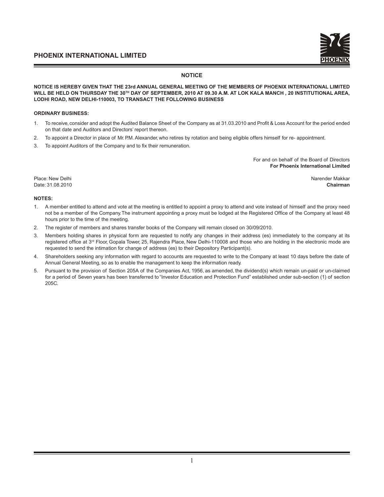### **NOTICE**

*NOTICE IS HEREBY GIVEN THAT THE 23rd ANNUAL GENERAL MEETING OF THE MEMBERS OF PHOENIX INTERNATIONAL LIMITED WILL BE HELD ON THURSDAY THE 30<sup>TH</sup> DAY OF SEPTEMBER, 2010 AT 09.30 A.M. AT LOK KALA MANCH, 20 INSTITUTIONAL AREA,* LODHI ROAD, NEW DELHI-110003, TO TRANSACT THE FOLLOWING BUSINESS

### **ORDINARY BUSINESS:**

- 1. To receive, consider and adopt the Audited Balance Sheet of the Company as at 31.03.2010 and Profit & Loss Account for the period ended on that date and Auditors and Directors' report thereon.
- 2. To appoint a Director in place of Mr. P.M. Alexander, who retires by rotation and being eligible offers himself for re- appointment.
- 3. To appoint Auditors of the Company and to fix their remuneration.

For and on behalf of the Board of Directors **For Phoenix International Limited** 

Place: New Delhi Narender Makkar (1999) and the settlement of the settlement of the settlement of the settlement of the settlement of the settlement of the settlement of the settlement of the settlement of the settlement o Date: 31.08.2010 **Chairman** 

### **NOTES:**

- 1. A member entitled to attend and vote at the meeting is entitled to appoint a proxy to attend and vote instead of himself and the proxy need not be a member of the Company. The instrument appointing a proxy must be lodged at the Registered Office of the Company at least 48 hours prior to the time of the meeting.
- 2. The register of members and shares transfer books of the Company will remain closed on 30/09/2010.
- 3. Members holding shares in physical form are requested to notify any changes in their address (es) immediately to the company at its registered office at 3<sup>rd</sup> Floor, Gopala Tower, 25, Rajendra Place, New Delhi-110008 and those who are holding in the electronic mode are requested to send the intimation for change of address (es) to their Depository Participant(s).
- 4. Shareholders seeking any information with regard to accounts are requested to write to the Company at least 10 days before the date of Annual General Meeting, so as to enable the management to keep the information ready.
- 5. Pursuant to the provision of Section 205A of the Companies Act, 1956, as amended, the dividend(s) which remain un-paid or un-claimed for a period of Seven years has been transferred to "Investor Education and Protection Fund" established under sub-section (1) of section 205C.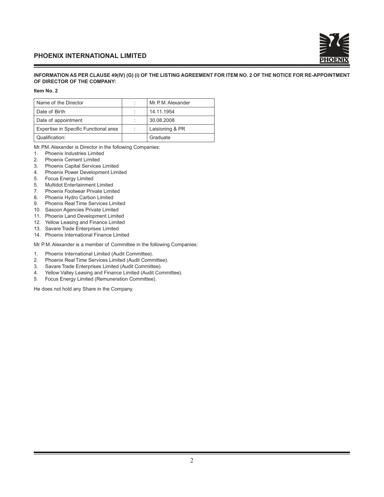

### *KPHPANATION AS PER CLAUSE 49(IV) (G) (i) OF THE LISTING AGREEMENT FOR ITEM NO. 2 OF THE NOTICE FOR RE-APPOINTMENT OF DIRECTOR OF THE COMPANY:*

### *Item No. 2*

| Name of the Director                  | Mr. P. M. Alexander |
|---------------------------------------|---------------------|
| Date of Birth                         | 14.11.1954          |
| Date of appointment                   | 30.08.2008          |
| Expertise in Specific Functional area | Laisioning & PR     |
| Qualification:                        | Graduate            |

Mr. P.M. Alexander is Director in the following Companies:

- 1. Phoenix Industries Limited
- 2. Phoenix Cement Limited
- 3. Phoenix Capital Services Limited
- 4. Phoenix Power Development Limited
- 5. Focus Energy Limited
- 5. Multidot Entertainment Limited
- 7. Phoenix Footwear Private Limited
- 8. Phoenix Hydro Carbon Limited
- 9. Phoenix Real Time Services Limited
- 10. Sasoon Agencies Private Limited
- 11. Phoenix Land Development Limited
- 12. Yellow Leasing and Finance Limited
- 13. Savare Trade Enterprises Limited
- 14. Phoenix International Finance Limited

Mr. P. M. Alexander is a member of Committee in the following Companies:

- 1. Phoenix International Limited (Audit Committee).
- 2. Phoenix Real Time Services Limited (Audit Committee).
- 3. Savare Trade Enterprises Limited (Audit Committee).
- 4. Yellow Valley Leasing and Finance Limited (Audit Committee).<br>5. Focus Energy Limited (Remuneration Committee).
- 5. Focus Energy Limited (Remuneration Committee).

He does not hold any Share in the Company.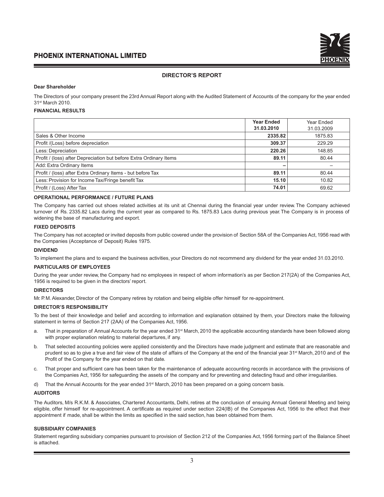### **DIRECTOR'S REPORT**

### Dear Shareholder

The Directors of your company present the 23rd Annual Report along with the Audited Statement of Accounts of the company for the year ended 31st March 2010.

### **FINANCIAL RESULTS**

|                                                                    | <b>Year Ended</b><br>31.03.2010 | Year Ended<br>31.03.2009 |
|--------------------------------------------------------------------|---------------------------------|--------------------------|
| Sales & Other Income                                               | 2335.82                         | 1875.83                  |
| Profit /(Loss) before depreciation                                 | 309.37                          | 229.29                   |
| Less: Depreciation                                                 | 220.26                          | 148.85                   |
| Profit / (loss) after Depreciation but before Extra Ordinary Items | 89.11                           | 80.44                    |
| Add: Extra Ordinary Items                                          |                                 |                          |
| Profit / (loss) after Extra Ordinary Items - but before Tax        | 89.11                           | 80.44                    |
| Less: Provision for Income Tax/Fringe benefit Tax                  | 15.10                           | 10.82                    |
| Profit / (Loss) After Tax                                          | 74.01                           | 69.62                    |

### *QPERATIONAL PERFORMANCE / FUTURE PLANS*

The Company has carried out shoes related activities at its unit at Chennai during the financial year under review. The Company achieved turnover of Rs. 2335.82 Lacs during the current year as compared to Rs. 1875.83 Lacs during previous year. The Company is in process of widening the base of manufacturing and export.

### **FIXED DEPOSITS**

The Company has not accepted or invited deposits from public covered under the provision of Section 58A of the Companies Act, 1956 read with the Companies (Acceptance of Deposit) Rules 1975.

### *<u>DIVIDEND</u>*

To implement the plans and to expand the business activities, your Directors do not recommend any dividend for the year ended 31.03.2010.

#### **PARTICULARS OF EMPLOYEES**

During the year under review, the Company had no employees in respect of whom information's as per Section 217(2A) of the Companies Act, 1956 is required to be given in the directors' report.

### **DIRECTORS**

Mr. P. M. Alexander, Director of the Company retires by rotation and being eligible offer himself for re-appointment.

### **DIRECTOR'S RESPONSIBILITY**

To the best of their knowledge and belief and according to information and explanation obtained by them, your Directors make the following statement in terms of Section 217 (2AA) of the Companies Act, 1956.

- a. That in preparation of Annual Accounts for the year ended 31<sup>st</sup> March, 2010 the applicable accounting standards have been followed along with proper explanation relating to material departures, if any.
- b. That selected accounting policies were applied consistently and the Directors have made judgment and estimate that are reasonable and prudent so as to give a true and fair view of the state of affairs of the Company at the end of the financial year 31<sup>st</sup> March, 2010 and of the Profit of the Company for the year ended on that date.
- c. That proper and sufficient care has been taken for the maintenance of adequate accounting records in accordance with the provisions of the Companies Act, 1956 for safeguarding the assets of the company and for preventing and detecting fraud and other irregularities.
- d) That the Annual Accounts for the year ended  $31<sup>st</sup>$  March, 2010 has been prepared on a going concern basis.

### **AUDITORS**

The Auditors, M/s R.K.M. & Associates, Chartered Accountants, Delhi, retires at the conclusion of ensuing Annual General Meeting and being eligible, offer himself for re-appointment. A certificate as required under section 224(IB) of the Companies Act, 1956 to the effect that their appointment if made, shall be within the limits as specified in the said section, has been obtained from them.

### **SUBSIDIARY COMPANIES**

Statement regarding subsidiary companies pursuant to provision of Section 212 of the Companies Act, 1956 forming part of the Balance Sheet is attached.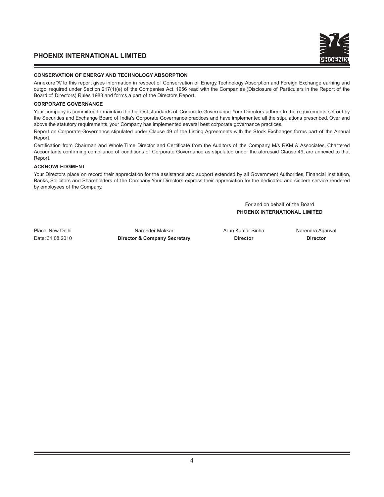

### CONSERVATION OF ENERGY AND TECHNOLOGY ABSORPTION

Annexure "A" to this report gives information in respect of Conservation of Energy, Technology Absorption and Foreign Exchange earning and outgo, required under Section 217(1)(e) of the Companies Act, 1956 read with the Companies (Disclosure of Particulars in the Report of the Board of Directors) Rules 1988 and forms a part of the Directors Report.

### **CORPORATE GOVERNANCE**

Your company is committed to maintain the highest standards of Corporate Governance. Your Directors adhere to the requirements set out by the Securities and Exchange Board of India's Corporate Governance practices and have implemented all the stipulations prescribed. Over and above the statutory requirements, your Company has implemented several best corporate governance practices.

Report on Corporate Governance stipulated under Clause 49 of the Listing Agreements with the Stock Exchanges forms part of the Annual Report.

Certification from Chairman and Whole Time Director and Certificate from the Auditors of the Company, M/s RKM & Associates, Chartered Accountants confirming compliance of conditions of Corporate Governance as stipulated under the aforesaid Clause 49, are annexed to that Report.

### **ACKNOWLEDGMENT**

Your Directors place on record their appreciation for the assistance and support extended by all Government Authorities, Financial Institution, Banks, Solicitors and Shareholders of the Company. Your Directors express their appreciation for the dedicated and sincere service rendered by employees of the Company.

> For and on behalf of the Board **PHOENIX INTERNATIONAL LIMITED**

Place: New Delhi Narender Makkar Narender Makkar Arun Kumar Sinha Narendra Agarwal Date: 31.08.2010 **Fature Fature Federal Prince Fature Figure 7.1.08.2010 Figurer** For **Freedom Freedom Figurer Figurer Figurer Figurer Figurer Figurer Figurer Expanse <b>Figurer Figurer Figurer Figu**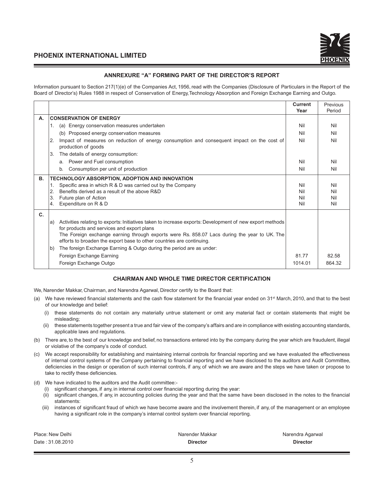

### ANNREXURE "A" FORMING PART OF THE DIRECTOR'S REPORT

Information pursuant to Section 217(1)(e) of the Companies Act, 1956, read with the Companies (Disclosure of Particulars in the Report of the Board of Director's) Rules 1988 in respect of Conservation of Energy, Technology Absorption and Foreign Exchange Earning and Outgo.

|    |                                                                                                                                                                       | <b>Current</b><br>Year | Previous<br>Period |
|----|-----------------------------------------------------------------------------------------------------------------------------------------------------------------------|------------------------|--------------------|
| А. | <b>CONSERVATION OF ENERGY</b>                                                                                                                                         |                        |                    |
|    | (a) Energy conservation measures undertaken<br>1.                                                                                                                     | Nil                    | Nil                |
|    | (b) Proposed energy conservation measures                                                                                                                             | Nil                    | Nil                |
|    | Impact of measures on reduction of energy consumption and consequent impact on the cost of<br>2.<br>production of goods                                               | Nil                    | Nil                |
|    | The details of energy consumption:<br>3.                                                                                                                              |                        |                    |
|    | a. Power and Fuel consumption                                                                                                                                         | Nil                    | Nil                |
|    | Consumption per unit of production<br>b.                                                                                                                              | Nil                    | Nil                |
| В. | TECHNOLOGY ABSORPTION, ADOPTION AND INNOVATION                                                                                                                        |                        |                    |
|    | Specific area in which R & D was carried out by the Company<br>1.                                                                                                     | Nil                    | Nil                |
|    | 2.<br>Benefits derived as a result of the above R&D                                                                                                                   | Nil                    | Nil                |
|    | 3.<br>Future plan of Action                                                                                                                                           | Nil<br>Nil             | Nil<br>Nil         |
|    | Expenditure on R & D<br>4.                                                                                                                                            |                        |                    |
| C. |                                                                                                                                                                       |                        |                    |
|    | Activities relating to exports: Initiatives taken to increase exports: Development of new export methods<br>a)<br>for products and services and export plans          |                        |                    |
|    | The Foreign exchange earning through exports were Rs. 858.07 Lacs during the year to UK. The<br>efforts to broaden the export base to other countries are continuing. |                        |                    |
|    | The foreign Exchange Earning & Outgo during the period are as under:<br>b)                                                                                            |                        |                    |
|    | Foreign Exchange Earning                                                                                                                                              | 81.77                  | 82.58              |
|    | Foreign Exchange Outgo                                                                                                                                                | 1014.01                | 864.32             |

### CHAIRMAN AND WHOLE TIME DIRECTOR CERTIFICATION

We, Narender Makkar, Chairman, and Narendra Agarwal, Director certify to the Board that:

- (a) We have reviewed financial statements and the cash flow statement for the financial year ended on 31<sup>st</sup> March, 2010, and that to the best of our knowledge and belief:
	- (i) these statements do not contain any materially untrue statement or omit any material fact or contain statements that might be misleading;
	- (ii) these statements together present a true and fair view of the company's affairs and are in compliance with existing accounting standards, applicable laws and regulations.
- (b) There are, to the best of our knowledge and belief, no transactions entered into by the company during the year which are fraudulent, illegal or violative of the company's code of conduct.
- (c) We accept responsibility for establishing and maintaining internal controls for financial reporting and we have evaluated the effectiveness of internal control systems of the Company pertaining to financial reporting and we have disclosed to the auditors and Audit Committee, deficiencies in the design or operation of such internal controls, if any, of which we are aware and the steps we have taken or propose to take to rectify these deficiencies.
- (d) We have indicated to the auditors and the Audit committee:-
	- (i) significant changes, if any, in internal control over financial reporting during the year:
	- (ii) significant changes, if any, in accounting policies during the year and that the same have been disclosed in the notes to the financial statements:
	- (iii) instances of significant fraud of which we have become aware and the involvement therein, if any, of the management or an employee having a significant role in the company's internal control system over financial reporting.

| Place: New Delhi | Narender Makkar | Narendra Agarwal |
|------------------|-----------------|------------------|
| Date: 31.08.2010 | <b>Director</b> | <b>Director</b>  |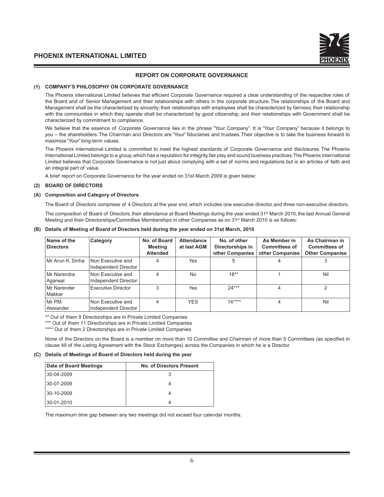### **REPORT ON CORPORATE GOVERNANCE**

#### (1) COMPANY'S PHILOSOPHY ON CORPORATE GOVERNANCE

 The Phoenix international Limited believes that efficient Corporate Governance required a clear understanding of the respective roles of the Board and of Senior Management and their relationships with others in the corporate structure. The relationships of the Board and Management shall be the characterized by sincerity; their relationships with employees shall be characterized by fairness; their relationship with the communities in which they operate shall be characterized by good citizenship; and their relationships with Government shall be characterized by commitment to compliance.

 We believe that the essence of Corporate Governance lies in the phrase "Your Company". It is "Your Company" because it belongs to you – the shareholders. The Chairman and Directors are "Your" fiduciaries and trustees. Their objective is to take the business forward to maximize "Your" long-term values.

 The Phoenix international Limited is committed to meet the highest standards of Corporate Governance and disclosures. The Phoenix International Limited belongs to a group, which has a reputation for integrity, fair play and sound business practices. The Phoenix International Limited believes that Corporate Governance is not just about complying with a set of norms and regulations but is an articles of faith and an integral part of value.

A brief report on Corporate Governance for the year ended on 31st March 2009 is given below:

### (2) BOARD OF DIRECTORS

#### (A) Composition and Category of Directors

The Board of Directors comprises of 4 Directors at the year end, which includes one executive director, and three non-executive directors.

The composition of Board of Directors, their attendance at Board Meetings during the year ended 31<sup>st</sup> March 2010, the last Annual General Meeting and their Directorships/Committee Memberships in other Companies as on 31<sup>st</sup> March 2010 is as follows:

| Name of the<br><b>Directors</b> | Category                                  | No. of Board<br><b>Meeting</b><br><b>Attended</b> | <b>Attendance</b><br>at last AGM | No. of other<br>Directorships in<br>other Companies | As Member in<br><b>Committees of</b><br>other Companies | As Chairman in<br><b>Committees of</b><br><b>Other Companies</b> |
|---------------------------------|-------------------------------------------|---------------------------------------------------|----------------------------------|-----------------------------------------------------|---------------------------------------------------------|------------------------------------------------------------------|
| Mr. Arun K. Sinha               | Non Executive and<br>Independent Director | 4                                                 | Yes                              | 5                                                   |                                                         |                                                                  |
| Mr. Narendra<br>Agarwal         | Non Executive and<br>Independent Director | 4                                                 | <b>No</b>                        | $18**$                                              |                                                         | Nil                                                              |
| Mr. Narender<br>Makkar          | Executive Director                        | 3                                                 | Yes                              | $24***$                                             | 4                                                       | ⌒                                                                |
| Mr. P.M.<br>Alexander           | Non Executive and<br>Independent Director | 4                                                 | <b>YES</b>                       | $14***$                                             | 4                                                       | Nil                                                              |

#### (B) Details of Meeting of Board of Directors held during the year ended on 31st March, 2010

\*\* Out of them 9 Directorships are in Private Limited Companies

\*\*\* Out of them 11 Directorships are in Private Limited Companies

\*\*\*\* Out of them 2 Directorships are in Private Limited Companies

None of the Directors on the Board is a member on more than 10 Committee and Chairman of more than 5 Committees (as specified in clause 49 of the Listing Agreement with the Stock Exchanges) across the Companies in which he is a Director.

#### *(C)* Details of Meetings of Board of Directors held during the year

| Date of Board Meetings | No. of Directors Present |
|------------------------|--------------------------|
| 30-04-2009             | З                        |
| 30-07-2009             |                          |
| 30-10-2009             |                          |
| 30-01-2010             |                          |

The maximum time gap between any two meetings did not exceed four calendar months.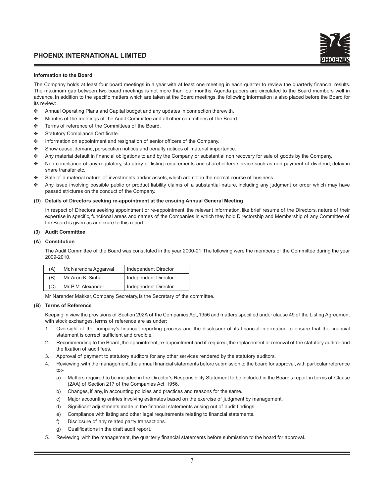#### **Information to the Board**

The Company holds at least four board meetings in a year with at least one meeting in each quarter to review the quarterly financial results. The maximum gap between two board meetings is not more than four months. Agenda papers are circulated to the Board members well in advance. In addition to the specific matters which are taken at the Board meetings, the following information is also placed before the Board for its review:

- **Annual Operating Plans and Capital budget and any updates in connection therewith.**
- **Minutes of the meetings of the Audit Committee and all other committees of the Board.**
- Terms of reference of the Committees of the Board.
- Statutory Compliance Certificate.
- **\*** Information on appointment and resignation of senior officers of the Company.
- Show cause, demand, persecution notices and penalty notices of material importance.
- \* Any material default in financial obligations to and by the Company, or substantial non recovery for sale of goods by the Company.
- \* Non-compliance of any regulatory, statutory or listing requirements and shareholders service such as non-payment of dividend, delay in share transfer etc.
- Sale of a material nature, of investments and/or assets, which are not in the normal course of business.
- Any issue involving possible public or product liability claims of a substantial nature, including any judgment or order which may have passed strictures on the conduct of the Company.

#### (D) Details of Directors seeking re-appointment at the ensuing Annual General Meeting

In respect of Directors seeking appointment or re-appointment, the relevant information, like brief resume of the Directors, nature of their expertise in specific, functional areas and names of the Companies in which they hold Directorship and Membership of any Committee of the Board is given as annexure to this report.

#### (3) Audit Committee

#### (A) Constitution

 The Audit Committee of the Board was constituted in the year 2000-01. The following were the members of the Committee during the year 2009-2010.

| (A) | Mr. Narendra Aggarwal | Independent Director |
|-----|-----------------------|----------------------|
| (B) | Mr. Arun K. Sinha     | Independent Director |
| (C) | Mr. P. M. Alexander   | Independent Director |

Mr. Narender Makkar, Company Secretary, is the Secretary of the committee.

#### **(B)** Terms of Reference

 Keeping in view the provisions of Section 292A of the Companies Act, 1956 and matters specified under clause 49 of the Listing Agreement with stock exchanges, terms of reference are as under;

- 1. Oversight of the company's financial reporting process and the disclosure of its financial information to ensure that the financial statement is correct, sufficient and credible.
- 2. Recommending to the Board, the appointment, re-appointment and if required, the replacement or removal of the statutory auditor and the fixation of audit fees.
- 3. Approval of payment to statutory auditors for any other services rendered by the statutory auditors.
- 4. Reviewing, with the management, the annual financial statements before submission to the board for approval, with particular reference  $t^{\circ}$ 
	- a) Matters required to be included in the Director's Responsibility Statement to be included in the Board's report in terms of Clause (2AA) of Section 217 of the Companies Act, 1956.
	- b) Changes, if any, in accounting policies and practices and reasons for the same.
	- c) Major accounting entries involving estimates based on the exercise of judgment by management.
	- d) Significant adjustments made in the financial statements arising out of audit findings.
	- e) Compliance with listing and other legal requirements relating to financial statements.
	- f) Disclosure of any related party transactions.
	- g) Qualifications in the draft audit report.
- 5. Reviewing, with the management, the quarterly financial statements before submission to the board for approval.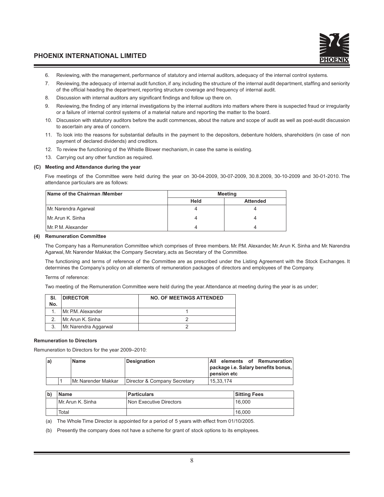

- 6. Reviewing, with the management, performance of statutory and internal auditors, adequacy of the internal control systems.
- 7. Reviewing, the adequacy of internal audit function, if any, including the structure of the internal audit department, staffing and seniority of the official heading the department, reporting structure coverage and frequency of internal audit.
- 8. Discussion with internal auditors any significant findings and follow up there on.
- 9. Reviewing, the finding of any internal investigations by the internal auditors into matters where there is suspected fraud or irregularity or a failure of internal control systems of a material nature and reporting the matter to the board.
- 10. Discussion with statutory auditors before the audit commences, about the nature and scope of audit as well as post-audit discussion to ascertain any area of concern.
- 11. To look into the reasons for substantial defaults in the payment to the depositors, debenture holders, shareholders (in case of non payment of declared dividends) and creditors.
- 12. To review the functioning of the Whistle Blower mechanism, in case the same is existing.
- 13. Carrying out any other function as required.

#### *(C)* Meeting and Attendance during the year

 Five meetings of the Committee were held during the year on 30-04-2009, 30-07-2009, 30.8.2009, 30-10-2009 and 30-01-2010. The attendance particulars are as follows:

| Name of the Chairman /Member | <b>Meeting</b> |                 |  |  |
|------------------------------|----------------|-----------------|--|--|
|                              | <b>Held</b>    | <b>Attended</b> |  |  |
| Mr. Narendra Agarwal         |                |                 |  |  |
| Mr. Arun K. Sinha            | 4              |                 |  |  |
| IMr. P. M. Alexander         | 4              |                 |  |  |

#### (4) Remuneration Committee

 The Company has a Remuneration Committee which comprises of three members. Mr. P.M. Alexander, Mr. Arun K. Sinha and Mr. Narendra Agarwal, Mr. Narender Makkar, the Company Secretary, acts as Secretary of the Committee.

 The functioning and terms of reference of the Committee are as prescribed under the Listing Agreement with the Stock Exchanges. It determines the Company's policy on all elements of remuneration packages of directors and employees of the Company.

Terms of reference:

Two meeting of the Remuneration Committee were held during the year. Attendance at meeting during the year is as under;

| SI.<br>No. | <b>DIRECTOR</b>       | <b>NO. OF MEETINGS ATTENDED</b> |
|------------|-----------------------|---------------------------------|
|            | Mr. P.M. Alexander    |                                 |
|            | Mr. Arun K. Sinha     |                                 |
| 3.         | Mr. Narendra Aggarwal |                                 |

### **Remuneration to Directors**

Remuneration to Directors for the year 2009–2010:

| l al |  | <b>Name</b>          | Designation                  | All                                 |             |  | elements of Remuneration |
|------|--|----------------------|------------------------------|-------------------------------------|-------------|--|--------------------------|
|      |  |                      |                              | package i.e. Salary benefits bonus, |             |  |                          |
|      |  |                      |                              |                                     | pension etc |  |                          |
|      |  | IMr. Narender Makkar | Director & Company Secretary |                                     | 15.33.174   |  |                          |

| <b>Name</b>       | <b>Particulars</b>      | <b>Sitting Fees</b> |
|-------------------|-------------------------|---------------------|
| Mr. Arun K. Sinha | Non Executive Directors | 16.000              |
| Total             |                         | 16.000              |

(a) The Whole Time Director is appointed for a period of 5 years with effect from 01/10/2005.

(b) Presently the company does not have a scheme for grant of stock options to its employees.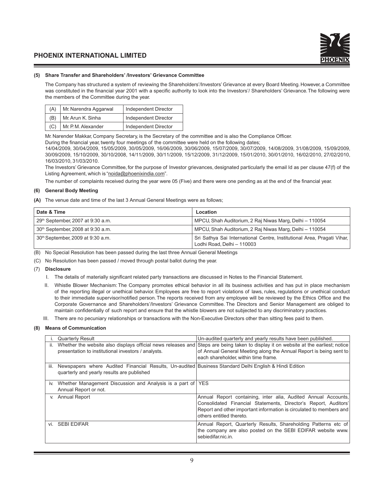

#### (5) Share Transfer and Shareholders' /Investors' Grievance Committee

 The Company has structured a system of reviewing the Shareholders'/Investors' Grievance at every Board Meeting. However, a Committee was constituted in the financial year 2001 with a specific authority to look into the Investors'/ Shareholders' Grievance. The following were the members of the Committee during the year.

| (A) | Mr. Narendra Aggarwal | <b>Independent Director</b> |
|-----|-----------------------|-----------------------------|
| (B) | Mr. Arun K. Sinha     | Independent Director        |
| (C) | Mr. P. M. Alexander   | Independent Director        |

Mr. Narender Makkar, Company Secretary, is the Secretary of the committee and is also the Compliance Officer.

During the financial year, twenty four meetings of the committee were held on the following dates;

 14/04/2009, 30/04/2009, 15/05/2009, 30/05/2009, 16/06/2009, 30/06/2009, 15/07/2009, 30/07/2009, 14/08/2009, 31/08/2009, 15/09/2009, 30/09/2009, 15/10/2009, 30/10/2008, 14/11/2009, 30/11/2009, 15/12/2009, 31/12/2009, 15/01/2010, 30/01/2010, 16/02/2010, 27/02/2010, 16/03/2010, 31/03/2010.

 The Investors' Grievance Committee, for the purpose of Investor grievances, designated particularly the email Id as per clause 47(f) of the Listing Agreement, which is "noida@phoenixindia.com".

The number of complaints received during the year were 05 (Five) and there were one pending as at the end of the financial year.

#### **(6) General Body Meeting**

(A) The venue date and time of the last 3 Annual General Meetings were as follows;

| Date & Time                                   | Location                                                                                              |
|-----------------------------------------------|-------------------------------------------------------------------------------------------------------|
| 29 <sup>th</sup> September, 2007 at 9:30 a.m. | MPCU, Shah Auditorium, 2 Raj Niwas Marg, Delhi - 110054                                               |
| $30th$ September, 2008 at 9:30 a.m.           | MPCU, Shah Auditorium, 2 Raj Niwas Marg, Delhi - 110054                                               |
| 30 <sup>th</sup> September, 2009 at 9:30 a.m. | Sri Sathya Sai International Centre, Institutional Area, Pragati Vihar,<br>Lodhi Road. Delhi - 110003 |

(B) No Special Resolution has been passed during the last three Annual General Meetings

(C) No Resolution has been passed / moved through postal ballot during the year.

#### (7) **Disclosure**

- I. The details of materially significant related party transactions are discussed in Notes to the Financial Statement.
- II. Whistle Blower Mechanism: The Company promotes ethical behavior in all its business activities and has put in place mechanism of the reporting illegal or unethical behavior. Employees are free to report violations of laws, rules, regulations or unethical conduct to their immediate supervisor/notified person. The reports received from any employee will be reviewed by the Ethics Office and the Corporate Governance and Shareholders'/Investors' Grievance Committee. The Directors and Senior Management are obliged to maintain confidentially of such report and ensure that the whistle blowers are not subjected to any discriminatory practices.
- III. There are no pecuniary relationships or transactions with the Non-Executive Directors other than sitting fees paid to them.

#### $(8)$  Means of Communication

|      | <b>Quarterly Result</b>                                                                                | Un-audited quarterly and yearly results have been published.           |
|------|--------------------------------------------------------------------------------------------------------|------------------------------------------------------------------------|
| ii.  | Whether the website also displays official news releases and                                           | Steps are being taken to display it on website at the earliest; notice |
|      | presentation to institutional investors / analysts.                                                    | of Annual General Meeting along the Annual Report is being sent to     |
|      |                                                                                                        | each shareholder, within time frame.                                   |
| iii. | Newspapers where Audited Financial Results, Un-audited Business Standard Delhi English & Hindi Edition |                                                                        |
|      | quarterly and yearly results are published                                                             |                                                                        |
|      |                                                                                                        |                                                                        |
|      | iv. Whether Management Discussion and Analysis is a part of                                            | YES.                                                                   |
|      | Annual Report or not.                                                                                  |                                                                        |
|      | v. Annual Report                                                                                       | Annual Report containing, inter alia, Audited Annual Accounts,         |
|      |                                                                                                        | Consolidated Financial Statements, Director's Report, Auditors'        |
|      |                                                                                                        | Report and other important information is circulated to members and    |
|      |                                                                                                        | others entitled thereto.                                               |
|      | vi. SEBI EDIFAR                                                                                        | Annual Report, Quarterly Results, Shareholding Patterns etc of         |
|      |                                                                                                        | the company are also posted on the SEBI EDIFAR website www.            |
|      |                                                                                                        | sebiedifar.nic.in.                                                     |
|      |                                                                                                        |                                                                        |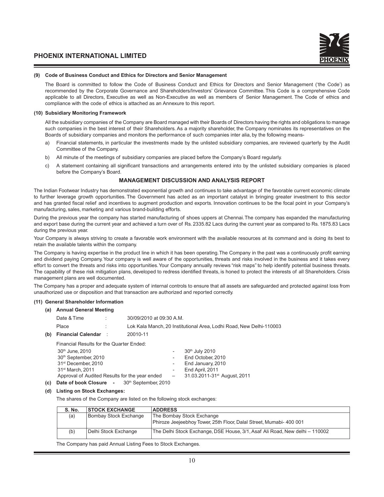#### (9) Code of Business Conduct and Ethics for Directors and Senior Management

 The Board is committed to follow the Code of Business Conduct and Ethics for Directors and Senior Management ('the Code') as recommended by the Corporate Governance and Shareholders/Investors' Grievance Committee. This Code is a comprehensive Code applicable to all Directors, Executive as well as Non-Executive as well as members of Senior Management. The Code of ethics and compliance with the code of ethics is attached as an Annexure to this report.

### **(10) Subsidiary Monitoring Framework**

 All the subsidiary companies of the Company are Board managed with their Boards of Directors having the rights and obligations to manage such companies in the best interest of their Shareholders. As a majority shareholder, the Company nominates its representatives on the Boards of subsidiary companies and monitors the performance of such companies inter alia, by the following means-

- a) Financial statements, in particular the investments made by the unlisted subsidiary companies, are reviewed quarterly by the Audit Committee of the Company.
- b) All minute of the meetings of subsidiary companies are placed before the Company's Board regularly.
- c) A statement containing all significant transactions and arrangements entered into by the unlisted subsidiary companies is placed before the Company's Board.

### **MANAGEMENT DISCUSSION AND ANALYSIS REPORT**

The Indian Footwear Industry has demonstrated exponential growth and continues to take advantage of the favorable current economic climate to further leverage growth opportunities. The Government has acted as an important catalyst in bringing greater investment to this sector and has granted fiscal relief and incentives to augment production and exports. Innovation continues to be the focal point in your Company's manufacturing, sales, marketing and various brand-building efforts.

During the previous year the company has started manufacturing of shoes uppers at Chennai. The company has expanded the manufacturing and export base during the current year and achieved a turn over of Rs. 2335.82 Lacs during the current year as compared to Rs. 1875.83 Lacs during the previous year.

Your Company is always striving to create a favorable work environment with the available resources at its command and is doing its best to retain the available talents within the company.

The Company is having expertise in the product line in which it has been operating. The Company in the past was a continuously profit earning and dividend paying Company. Your company is well aware of the opportunities, threats and risks involved in the business and it takes every effort to convert the threats and risks into opportunities. Your Company annually reviews "risk maps" to help identify potential business threats. The capability of these risk mitigation plans, developed to redress identified threats, is honed to protect the interests of all Shareholders. Crisis management plans are well documented.

The Company has a proper and adequate system of internal controls to ensure that all assets are safeguarded and protected against loss from unauthorized use or disposition and that transaction are authorized and reported correctly.

### $(11)$  General Shareholder Information

### (a) Annual General Meeting

| Date & Time              | 30/09/2010 at 09:30 A.M.                                            |
|--------------------------|---------------------------------------------------------------------|
| Place                    | Lok Kala Manch. 20 Institutional Area. Lodhi Road. New Delhi-110003 |
| (b) Financial Calendar : | 20010-11                                                            |

Financial Results for the Quarter Ended:

|     | 30th June, 2010                                | $\sim$ | 30th July 2010                               |
|-----|------------------------------------------------|--------|----------------------------------------------|
|     | 30th September, 2010                           |        | End October, 2010                            |
|     | 31 <sup>st</sup> December, 2010                | $\sim$ | End January, 2010                            |
|     | 31 <sup>st</sup> March, 2011                   | $\sim$ | End April, 2011                              |
|     | Approval of Audited Results for the year ended |        | $-$ 31.03.2011-31 <sup>st</sup> August, 2011 |
| (c) | Date of book Closure - 30th September, 2010    |        |                                              |

### *(d)* Listing on Stock Exchanges:

The shares of the Company are listed on the following stock exchanges:

| <b>S. No.</b> | <b>STOCK EXCHANGE</b> | <b>ADDRESS</b>                                                              |
|---------------|-----------------------|-----------------------------------------------------------------------------|
| (a)           | Bombay Stock Exchange | The Bombay Stock Exchange                                                   |
|               |                       | Phiroze Jeejeebhoy Tower, 25th Floor, Dalal Street, Mumabi- 400 001         |
| (b)           | Delhi Stock Exchange  | The Delhi Stock Exchange, DSE House, 3/1, Asaf Ali Road, New delhi – 110002 |

The Company has paid Annual Listing Fees to Stock Exchanges.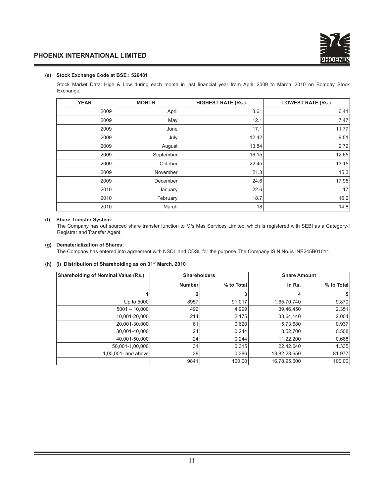

### (e) Stock Exchange Code at BSE: 526481

Stock Market Data: High & Low during each month in last financial year from April, 2009 to March, 2010 on Bombay Stock Exchange.

| <b>YEAR</b> | <b>MONTH</b> | <b>HIGHEST RATE (Rs.)</b> | <b>LOWEST RATE (Rs.)</b> |
|-------------|--------------|---------------------------|--------------------------|
| 2009        | April        | 8.61                      | 6.41                     |
| 2009        | May          | 12.1                      | 7.47                     |
| 2009        | June         | 17.1                      | 11.77                    |
| 2009        | July         | 12.42                     | 9.51                     |
| 2009        | August       | 13.84                     | 9.72                     |
| 2009        | September    | 16.15                     | 12.65                    |
| 2009        | October      | 22.45                     | 13.15                    |
| 2009        | November     | 21.3                      | 15.3                     |
| 2009        | December     | 24.6                      | 17.95                    |
| 2010        | January      | 22.6                      | 17                       |
| 2010        | February     | 18.7                      | 16.2                     |
| 2010        | March        | 18                        | 14.8                     |

### $(f)$  Share Transfer System:

The Company has out sourced share transfer function to M/s Mas Services Limited, which is registered with SEBI as a Category-I Registrar and Transfer Agent.

### $(g)$  Dematerialization of Shares:

The Company has entered into agreement with NSDL and CDSL for the purpose. The Company ISIN No. is INE245B01011.

### *(h)* (i) Distribution of Shareholding as on 31<sup>st</sup> March, 2010

| <b>Shareholding of Nominal Value (Rs.)</b> | <b>Shareholders</b> |            | <b>Share Amount</b> |            |
|--------------------------------------------|---------------------|------------|---------------------|------------|
|                                            | <b>Number</b>       | % to Total | In Rs.              | % to Total |
|                                            |                     | 3          | 4                   | 5          |
| Up to 5000                                 | 8957                | 91.017     | 1,65,70,740         | 9.870      |
| $5001 - 10,000$                            | 492                 | 4.999      | 39,46,450           | 2.351      |
| 10.001-20.000                              | 214                 | 2.175      | 33,64,140           | 2.004      |
| 20.001-30.000                              | 61                  | 0.620      | 15,73,680           | 0.937      |
| 30,001-40,000                              | 24                  | 0.244      | 8,52,700            | 0.508      |
| 40,001-50,000                              | 24                  | 0.244      | 11,22,200           | 0.668      |
| 50,001-1,00,000                            | 31                  | 0.315      | 22,42,040           | 1.335      |
| 1.00.001- and above                        | 38                  | 0.386      | 13,82,23,650        | 81.977     |
|                                            | 9841                | 100.00     | 16,78,95,600        | 100.00     |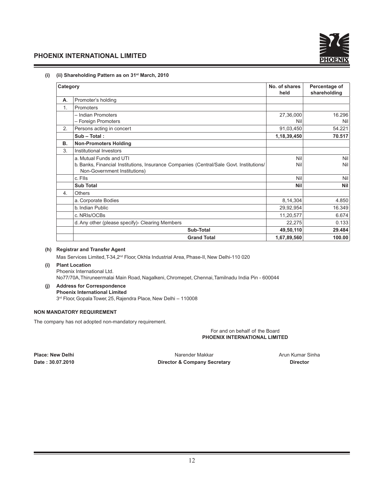



### *(i)* (*ii*) Shareholding Pattern as on 31<sup>st</sup> March, 2010

| Category  |                                                                                                                         | No. of shares<br>held | Percentage of<br>shareholding |
|-----------|-------------------------------------------------------------------------------------------------------------------------|-----------------------|-------------------------------|
| Α.        | Promoter's holding                                                                                                      |                       |                               |
| 1.        | Promoters                                                                                                               |                       |                               |
|           | - Indian Promoters                                                                                                      | 27,36,000             | 16.296                        |
|           | - Foreign Promoters                                                                                                     | Nil                   | Nil                           |
| 2.        | Persons acting in concert                                                                                               | 91,03,450             | 54.221                        |
|           | $Sub - Total:$                                                                                                          | 1,18,39,450           | 70.517                        |
| <b>B.</b> | <b>Non-Promoters Holding</b>                                                                                            |                       |                               |
| 3.        | Institutional Investors                                                                                                 |                       |                               |
|           | a. Mutual Funds and UTI                                                                                                 | Nil                   | Nil                           |
|           | b. Banks, Financial Institutions, Insurance Companies (Central/Sale Govt. Institutions/<br>Non-Government Institutions) | Nil                   | Nil                           |
|           | c. Flls                                                                                                                 | <b>Nil</b>            | Nil                           |
|           | <b>Sub Total</b>                                                                                                        | <b>Nil</b>            | <b>Nil</b>                    |
| 4.        | Others                                                                                                                  |                       |                               |
|           | a. Corporate Bodies                                                                                                     | 8,14,304              | 4.850                         |
|           | b. Indian Public                                                                                                        | 29,92,954             | 16.349                        |
|           | c. NRIs/OCBs                                                                                                            | 11,20,577             | 6.674                         |
|           | d. Any other (please specify)- Clearing Members                                                                         | 22,275                | 0.133                         |
|           | Sub-Total                                                                                                               | 49,50,110             | 29.484                        |
|           | <b>Grand Total</b>                                                                                                      | 1,67,89,560           | 100.00                        |

### *(h)* Registrar and Transfer Agent

Mas Services Limited, T-34, 2<sup>nd</sup> Floor, Okhla Industrial Area, Phase-II, New Delhi-110 020

### *(i)* Plant Location

Phoenix International Ltd. No77/70A, Thiruneermalai Main Road, Nagalkeni, Chromepet, Chennai, Tamilnadu India Pin - 600044

*(j)* Address for Correspondence Phoenix International Limited 3 rd Floor, Gopala Tower, 25, Rajendra Place, New Delhi – 110008

### **POOK MANDATORY REQUIREMENT**

The company has not adopted non-mandatory requirement.

For and on behalf of the Board PHOENIX INTERNATIONAL LIMITED

**Place: New Delhi**<br>Date : 30.07.2010 **Placegia Narender Makkar Arun Kumar Sinha**<br>Director & Company Secretary **Company Secretary** Director *Fcvg"<"5202904232 Fktgevqt"("Eqorcp{"Ugetgvct{ Fktgevqt*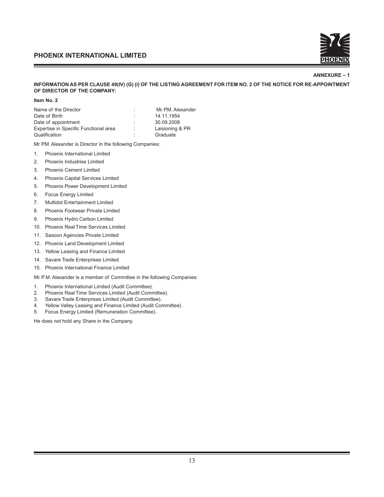

### **ANNEXURE - 1**

*KPHPANATION AS PER CLAUSE 49(IV) (G) (i) OF THE LISTING AGREEMENT FOR ITEM NO. 2 OF THE NOTICE FOR RE-APPOINTMENT OF DIRECTOR OF THE COMPANY:* 

*Item No. 2* 

| Name of the Director                  | ٠<br>٠ | Mr. P.M. Alexander |
|---------------------------------------|--------|--------------------|
| Date of Birth                         | ÷      | 14.11.1954         |
| Date of appointment                   | ÷      | 30.09.2008         |
| Expertise in Specific Functional area | ÷      | Laisioning & PR    |
| Qualification                         |        | Graduate           |

Mr. P.M. Alexander is Director in the following Companies:

- 1. Phoenix International Limited
- 2. Phoenix Industries Limited
- 3. Phoenix Cement Limited
- 4. Phoenix Capital Services Limited
- 5. Phoenix Power Development Limited
- 6. Focus Energy Limited
- 7. Multidot Entertainment Limited
- 8. Phoenix Footwear Private Limited
- 9. Phoenix Hydro Carbon Limited
- 10. Phoenix Real Time Services Limited
- 11. Sasoon Agencies Private Limited
- 12. Phoenix Land Development Limited
- 13. Yellow Leasing and Finance Limited
- 14. Savare Trade Enterprises Limited
- 15. Phoenix International Finance Limited

Mr. P. M. Alexander is a member of Committee in the following Companies:

- 1. Phoenix International Limited (Audit Committee).
- 2. Phoenix Real Time Services Limited (Audit Committee).
- 3. Savare Trade Enterprises Limited (Audit Committee).
- 4. Yellow Valley Leasing and Finance Limited (Audit Committee).
- 5. Focus Energy Limited (Remuneration Committee).

He does not hold any Share in the Company.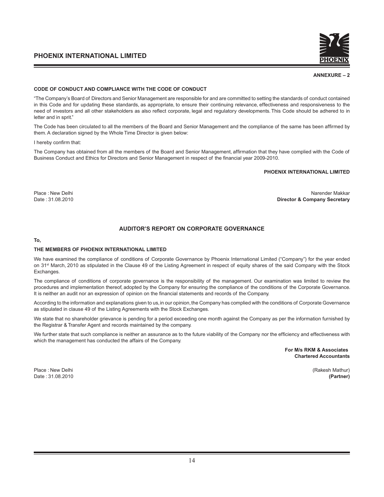

#### *CPPGZWTG"⁄"4*

#### CODE OF CONDUCT AND COMPLIANCE WITH THE CODE OF CONDUCT

"The Company's Board of Directors and Senior Management are responsible for and are committed to setting the standards of conduct contained in this Code and for updating these standards, as appropriate, to ensure their continuing relevance, effectiveness and responsiveness to the need of investors and all other stakeholders as also reflect corporate, legal and regulatory developments. This Code should be adhered to in letter and in sprit."

The Code has been circulated to all the members of the Board and Senior Management and the compliance of the same has been affirmed by them. A declaration signed by the Whole Time Director is given below:

I hereby confirm that:

The Company has obtained from all the members of the Board and Senior Management, affirmation that they have complied with the Code of Business Conduct and Ethics for Directors and Senior Management in respect of the financial year 2009-2010.

### **PHOENIX INTERNATIONAL LIMITED**

Place : New Delhi Narender Makkar Narender Makkar Narender Makkar Narender Makkar Narender Makkar Narender Makkar Date : 31.08.2010 **Facture : 31.08.2010 First Company Secretary Figure : 31.08.2010 First Company Secretary** 

### **AUDITOR'S REPORT ON CORPORATE GOVERNANCE**

#### *Vq.*

### *THE MEMBERS OF PHOENIX INTERNATIONAL LIMITED*

We have examined the compliance of conditions of Corporate Governance by Phoenix International Limited ("Company") for the year ended on 31<sup>st</sup> March, 2010 as stipulated in the Clause 49 of the Listing Agreement in respect of equity shares of the said Company with the Stock **Exchanges** 

The compliance of conditions of corporate governance is the responsibility of the management. Our examination was limited to review the procedures and implementation thereof, adopted by the Company for ensuring the compliance of the conditions of the Corporate Governance. It is neither an audit nor an expression of opinion on the financial statements and records of the Company.

According to the information and explanations given to us, in our opinion, the Company has complied with the conditions of Corporate Governance as stipulated in clause 49 of the Listing Agreements with the Stock Exchanges.

We state that no shareholder grievance is pending for a period exceeding one month against the Company as per the information furnished by the Registrar & Transfer Agent and records maintained by the company.

We further state that such compliance is neither an assurance as to the future viability of the Company nor the efficiency and effectiveness with which the management has conducted the affairs of the Company.

> **For M/s RKM & Associates Chartered Accountants**

Place : New Delhi (Rakesh Mathur) Date : 31.08.2010 *\*Rctvpgt+*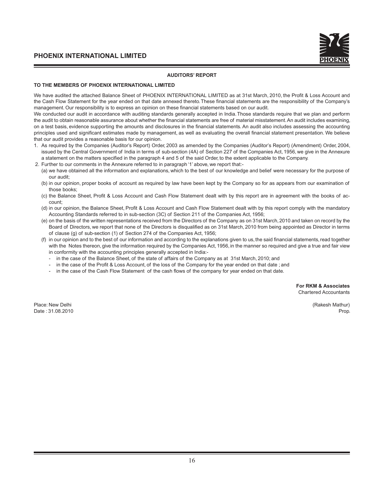### **AUDITORS' REPORT**

### **TO THE MEMBERS OF PHOENIX INTERNATIONAL LIMITED**

We have audited the attached Balance Sheet of PHOENIX INTERNATIONAL LIMITED as at 31st March, 2010, the Profit & Loss Account and the Cash Flow Statement for the year ended on that date annexed thereto. These financial statements are the responsibility of the Company's management. Our responsibility is to express an opinion on these financial statements based on our audit.

We conducted our audit in accordance with auditing standards generally accepted in India. Those standards require that we plan and perform the audit to obtain reasonable assurance about whether the financial statements are free of material misstatement. An audit includes examining, on a test basis, evidence supporting the amounts and disclosures in the financial statements. An audit also includes assessing the accounting principles used and significant estimates made by management, as well as evaluating the overall financial statement presentation. We believe that our audit provides a reasonable basis for our opinion.

- 1. As required by the Companies (Auditor's Report) Order, 2003 as amended by the Companies (Auditor's Report) (Amendment) Order, 2004, issued by the Central Government of India in terms of sub-section (4A) of Section 227 of the Companies Act, 1956, we give in the Annexure a statement on the matters specified in the paragraph 4 and 5 of the said Order, to the extent applicable to the Company.
- 2. Further to our comments in the Annexure referred to in paragraph '1' above, we report that:-
	- (a) we have obtained all the information and explanations, which to the best of our knowledge and belief were necessary for the purpose of our audit;
	- (b) in our opinion, proper books of account as required by law have been kept by the Company so for as appears from our examination of those books;
	- (c) the Balance Sheet, Profit & Loss Account and Cash Flow Statement dealt with by this report are in agreement with the books of account;
	- (d) in our opinion, the Balance Sheet, Profit & Loss Account and Cash Flow Statement dealt with by this report comply with the mandatory Accounting Standards referred to in sub-section (3C) of Section 211 of the Companies Act, 1956;
	- (e) on the basis of the written representations received from the Directors of the Company as on 31st March, 2010 and taken on record by the Board of Directors, we report that none of the Directors is disqualified as on 31st March, 2010 from being appointed as Director in terms of clause (g) of sub-section (1) of Section 274 of the Companies Act, 1956;
	- (f) in our opinion and to the best of our information and according to the explanations given to us, the said financial statements, read together with the Notes thereon, give the information required by the Companies Act, 1956, in the manner so required and give a true and fair view in conformity with the accounting principles generally accepted in India:
		- in the case of the Balance Sheet, of the state of affairs of the Company as at 31st March, 2010; and
		- in the case of the Profit & Loss Account, of the loss of the Company for the year ended on that date; and
		- in the case of the Cash Flow Statement of the cash flows of the company for year ended on that date.

**For RKM & Associates** Chartered Accountants

Place: New Delhi (Rakesh Mathur) Date : 31.08.2010 Prop.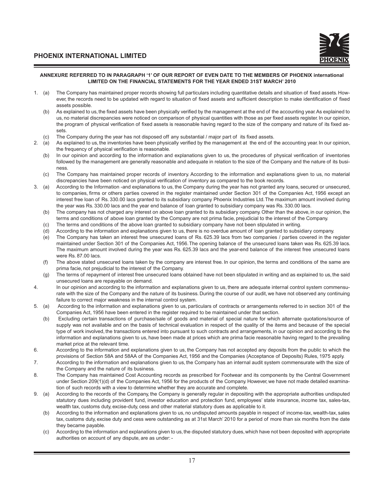

### ANNEXURE REFERRED TO IN PARAGRAPH '1' OF OUR REPORT OF EVEN DATE TO THE MEMBERS OF PHOENIX international **LIMITED ON THE FINANCIAL STATEMENTS FOR THE YEAR ENDED 31ST MARCH' 2010**

- 1. (a) The Company has maintained proper records showing full particulars including quantitative details and situation of fixed assets. However, the records need to be updated with regard to situation of fixed assets and sufficient description to make identification of fixed assets possible.
	- (b) As explained to us, the fixed assets have been physically verified by the management at the end of the accounting year. As explained to us, no material discrepancies were noticed on comparison of physical quantities with those as per fixed assets register. In our opinion, the program of physical verification of fixed assets is reasonable having regard to the size of the company and nature of its fixed assets.
	- (c) The Company during the year has not disposed off any substantial / major part of its fixed assets.
- 2. (a) As explained to us, the inventories have been physically verified by the management at the end of the accounting year. In our opinion, the frequency of physical verification is reasonable.
	- (b) In our opinion and according to the information and explanations given to us, the procedures of physical verification of inventories followed by the management are generally reasonable and adequate in relation to the size of the Company and the nature of its business.
	- (c) The Company has maintained proper records of inventory. According to the information and explanations given to us, no material discrepancies have been noticed on physical verification of inventory as compared to the book records.
- 3. (a) According to the Information -and explanations to us, the Company during the year has not granted any loans, secured or unsecured, to companies, firms or others parties covered in the register maintained under Section 301 of the Companies Act, 1956 except an interest free loan of Rs. 330.00 lacs granted to its subsidiary company Phoenix Industries Ltd. The maximum amount involved during the year was Rs. 330.00 lacs and the year end balance of loan granted to subsidiary company was Rs. 330.00 lacs.
	- (b) The company has not charged any interest on above loan granted to its subsidiary company. Other than the above, in our opinion, the terms and conditions of above loan granted by the Company are not prima facie, prejudicial to the interest of the Company.
	- (c) The terms and conditions of the above loan granted to subsidiary company have not been stipulated in writing.
	- (d) According to the information and explanations given to us, there is no overdue amount of loan granted to subsidiary company.
	- (e) The Company has taken an interest free unsecured loans of Rs. 625.39 lacs from two companies / parties covered in the register maintained under Section 301 of the Companies Act, 1956. The opening balance of the unsecured loans taken was Rs. 625.39 lacs. The maximum amount involved during the year was Rs. 625.39 lacs and the year-end balance of the interest free unsecured loans were Rs. 87.00 lacs.
	- (f) The above stated unsecured loans taken by the company are interest free. In our opinion, the terms and conditions of the same are prima facie, not prejudicial to the interest of the Company.
	- (g) The terms of repayment of interest free unsecured loans obtained have not been stipulated in writing and as explained to us, the said unsecured loans are repayable on demand.
- 4. In our opinion and according to the information and explanations given to us, there are adequate internal control system commensurate with the size of the Company and the nature of its business. During the course of our audit, we have not observed any continuing failure to correct major weakness in the internal control system.
- 5. (a) According to the information and explanations given to us, particulars of contracts or arrangements referred to in section 301 of the Companies Act, 1956 have been entered in the register required to be maintained under that section.
	- (b) Excluding certain transactions of purchase/sale of goods and material of special nature for which alternate quotations/source of supply was not available and on the basis of technical evaluation in respect of the quality of the items and because of the special type of work involved, the transactions entered into pursuant to such contracts and arrangements, in our opinion and according to the information and explanations given to us, have been made at prices which are prima facie reasonable having regard to the prevailing market price at the relevant time.
- 6. According to the information and explanations given to us, the Company has not accepted any deposits from the public to which the provisions of Section 58A and 58AA of the Companies Act, 1956 and the Companies (Acceptance of Deposits) Rules, 1975 apply.
- 7. According to the information and explanations given to us, the Company has an internal audit system commensurate with the size of the Company and the nature of its business.
- 8. The Company has maintained Cost Accounting records as prescribed for Footwear and its components by the Central Government under Section 209(1)(d) of the Companies Act, 1956 for the products of the Company. However, we have not made detailed examination of such records with a view to determine whether they are accurate and complete.
- 9. (a) According to the records of the Company, the Company is generally regular in depositing with the appropriate authorities undisputed statutory dues including provident fund, investor education and protection fund, employees' state insurance, income tax, sales-tax, wealth tax, customs duty, excise-duty, cess and other material statutory dues as applicable to it.
	- (b) According to the information and explanations given to us, no undisputed amounts payable in respect of income-tax, wealth-tax, sales tax, customs duty, excise duty and cess were outstanding as at 31st March' 2010 for a period of more than six months from the date they became payable.
	- (c) According to the information and explanations given to us, the disputed statutory dues, which have not been deposited with appropriate authorities on account of any dispute, are as under: -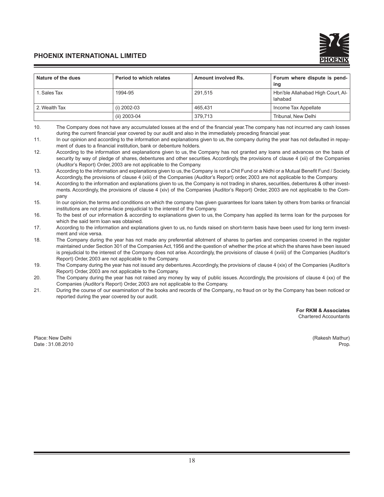| Nature of the dues |                                                                                                                                                                                                                                                                                                                                                                                                                                                                                                                                                                                                                                                                                                                                                                                                               | <b>Period to which relates</b><br>Amount involved Rs. |         | Forum where dispute is pend-<br>ing                                                                                                |  |  |
|--------------------|---------------------------------------------------------------------------------------------------------------------------------------------------------------------------------------------------------------------------------------------------------------------------------------------------------------------------------------------------------------------------------------------------------------------------------------------------------------------------------------------------------------------------------------------------------------------------------------------------------------------------------------------------------------------------------------------------------------------------------------------------------------------------------------------------------------|-------------------------------------------------------|---------|------------------------------------------------------------------------------------------------------------------------------------|--|--|
| 1. Sales Tax       |                                                                                                                                                                                                                                                                                                                                                                                                                                                                                                                                                                                                                                                                                                                                                                                                               | 1994-95                                               | 291,515 | Hbn'ble Allahabad High Court, Al-<br>lahabad                                                                                       |  |  |
|                    | 2. Wealth Tax                                                                                                                                                                                                                                                                                                                                                                                                                                                                                                                                                                                                                                                                                                                                                                                                 | $(i)$ 2002-03                                         | 465,431 | Income Tax Appellate                                                                                                               |  |  |
|                    |                                                                                                                                                                                                                                                                                                                                                                                                                                                                                                                                                                                                                                                                                                                                                                                                               | (ii) 2003-04                                          | 379,713 | Tribunal, New Delhi                                                                                                                |  |  |
| 10.<br>11.<br>12.  | The Company does not have any accumulated losses at the end of the financial year. The company has not incurred any cash losses<br>during the current financial year covered by our audit and also in the immediately preceding financial year.<br>In our opinion and according to the information and explanations given to us, the company during the year has not defaulted in repay-<br>ment of dues to a financial institution, bank or debenture holders.<br>According to the information and explanations given to us, the Company has not granted any loans and advances on the basis of<br>security by way of pledge of shares, debentures and other securities. Accordingly, the provisions of clause 4 (xii) of the Companies<br>(Auditor's Report) Order, 2003 are not applicable to the Company. |                                                       |         |                                                                                                                                    |  |  |
| 13.                | According to the information and explanations given to us, the Company is not a Chit Fund or a Nidhi or a Mutual Benefit Fund / Society.<br>Accordingly, the provisions of clause 4 (xiii) of the Companies (Auditor's Report) order, 2003 are not applicable to the Company.                                                                                                                                                                                                                                                                                                                                                                                                                                                                                                                                 |                                                       |         |                                                                                                                                    |  |  |
| 14.                | According to the information and explanations given to us, the Company is not trading in shares, securities, debentures & other invest-<br>ments. Accordingly, the provisions of clause 4 (xiv) of the Companies (Auditor's Report) Order, 2003 are not applicable to the Com-<br>pany                                                                                                                                                                                                                                                                                                                                                                                                                                                                                                                        |                                                       |         |                                                                                                                                    |  |  |
| 4 E .              |                                                                                                                                                                                                                                                                                                                                                                                                                                                                                                                                                                                                                                                                                                                                                                                                               |                                                       |         | la aus anisian tha tarma and conditions an which the company has given guarantees for leave taken hy others from hanke or fronsial |  |  |

15. In our opinion, the terms and conditions on which the company has given guarantees for loans taken by others from banks or financial institutions are not prima-facie prejudicial to the interest of the Company.

16. To the best of our information & according to explanations given to us, the Company has applied its terms loan for the purposes for which the said term loan was obtained.

17. According to the information and explanations given to us, no funds raised on short-term basis have been used for long term investment and vice versa.

18. The Company during the year has not made any preferential allotment of shares to parties and companies covered in the register maintained under Section 301 of the Companies Act, 1956 and the question of whether the price at which the shares have been issued is prejudicial to the interest of the Company does not arise. Accordingly, the provisions of clause 4 (xviii) of the Companies (Auditor's Report) Order, 2003 are not applicable to the Company.

19. The Company during the year has not issued any debentures. Accordingly, the provisions of clause 4 (xix) of the Companies (Auditor's Report) Order, 2003 are not applicable to the Company.

20. The Company during the year has not raised any money by way of public issues. Accordingly, the provisions of clause 4 (xx) of the Companies (Auditor's Report) Order, 2003 are not applicable to the Company.

21. During the course of our examination of the books and records of the Company,, no fraud on or by the Company has been noticed or reported during the year covered by our audit.

> **For RKM & Associates** Chartered Accountants

Place: New Delhi (Rakesh Mathur) Date : 31.08.2010 Prop.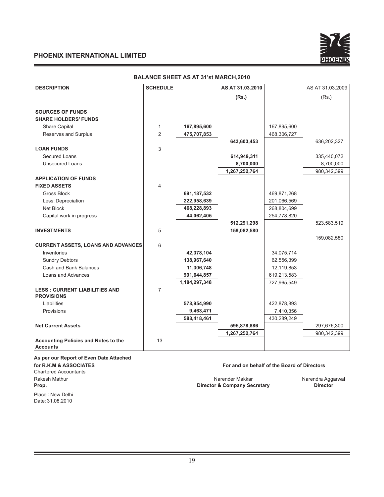

| <b>DESCRIPTION</b>                                        | <b>SCHEDULE</b> |               | AS AT 31.03.2010 |             | AS AT 31.03.2009 |
|-----------------------------------------------------------|-----------------|---------------|------------------|-------------|------------------|
|                                                           |                 |               | (Rs.)            |             | (Rs.)            |
| <b>SOURCES OF FUNDS</b>                                   |                 |               |                  |             |                  |
| <b>SHARE HOLDERS' FUNDS</b>                               |                 |               |                  |             |                  |
| Share Capital                                             | 1               | 167,895,600   |                  | 167,895,600 |                  |
| Reserves and Surplus                                      | 2               | 475,707,853   |                  | 468,306,727 |                  |
|                                                           |                 |               | 643,603,453      |             | 636,202,327      |
| <b>LOAN FUNDS</b>                                         | 3               |               |                  |             |                  |
| <b>Secured Loans</b>                                      |                 |               | 614,949,311      |             | 335,440,072      |
| <b>Unsecured Loans</b>                                    |                 |               | 8,700,000        |             | 8,700,000        |
|                                                           |                 |               | 1,267,252,764    |             | 980, 342, 399    |
| <b>APPLICATION OF FUNDS</b>                               |                 |               |                  |             |                  |
| <b>FIXED ASSETS</b>                                       | 4               |               |                  |             |                  |
| Gross Block                                               |                 | 691,187,532   |                  | 469,871,268 |                  |
| Less: Depreciation                                        |                 | 222,958,639   |                  | 201,066,569 |                  |
| <b>Net Block</b>                                          |                 | 468,228,893   |                  | 268,804,699 |                  |
| Capital work in progress                                  |                 | 44,062,405    |                  | 254,778,820 |                  |
|                                                           |                 |               | 512,291,298      |             | 523,583,519      |
| <b>INVESTMENTS</b>                                        | 5               |               | 159,082,580      |             |                  |
|                                                           |                 |               |                  |             | 159,082,580      |
| <b>CURRENT ASSETS, LOANS AND ADVANCES</b>                 | 6               |               |                  |             |                  |
| Inventories                                               |                 | 42,378,104    |                  | 34,075,714  |                  |
| <b>Sundry Debtors</b>                                     |                 | 138,967,640   |                  | 62,556,399  |                  |
| Cash and Bank Balances                                    |                 | 11,306,748    |                  | 12,119,853  |                  |
| Loans and Advances                                        |                 | 991,644,857   |                  | 619,213,583 |                  |
|                                                           |                 | 1,184,297,348 |                  | 727,965,549 |                  |
| <b>LESS: CURRENT LIABILITIES AND</b><br><b>PROVISIONS</b> | $\overline{7}$  |               |                  |             |                  |
| Liabilities                                               |                 | 578,954,990   |                  | 422,878,893 |                  |
| Provisions                                                |                 | 9,463,471     |                  | 7,410,356   |                  |
|                                                           |                 | 588,418,461   |                  | 430,289,249 |                  |
| <b>Net Current Assets</b>                                 |                 |               | 595,878,886      |             | 297,676,300      |
|                                                           |                 |               | 1,267,252,764    |             | 980,342,399      |
| Accounting Policies and Notes to the<br><b>Accounts</b>   | 13              |               |                  |             |                  |

### **BALANCE SHEET AS AT 31'st MARCH,2010**

As per our Report of Even Date Attached

for R.K.M & ASSOCIATES **Chartered Accountants** 

Rakesh Mathur Prop.

Place: New Delhi Date: 31.08.2010

### For and on behalf of the Board of Directors

Narender Makkar **Director & Company Secretary**  Narendra Aggarwal Director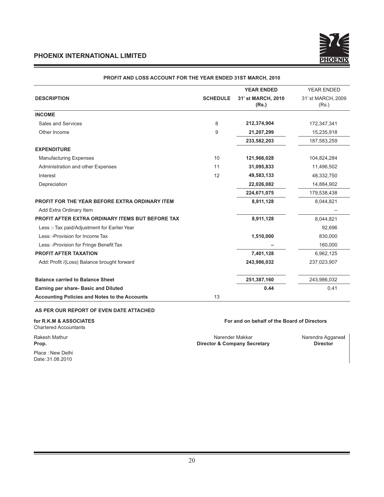

|                                                       |                 | <b>YEAR ENDED</b>  | <b>YEAR ENDED</b> |
|-------------------------------------------------------|-----------------|--------------------|-------------------|
| <b>DESCRIPTION</b>                                    | <b>SCHEDULE</b> | 31' st MARCH, 2010 | 31'st MARCH, 2009 |
|                                                       |                 | (Rs.)              | (Rs.)             |
| <b>INCOME</b>                                         |                 |                    |                   |
| <b>Sales and Services</b>                             | 8               | 212,374,904        | 172,347,341       |
| Other Income                                          | 9               | 21,207,299         | 15,235,918        |
|                                                       |                 | 233,582,203        | 187,583,259       |
| <b>EXPENDITURE</b>                                    |                 |                    |                   |
| <b>Manufacturing Expenses</b>                         | 10              | 121,966,028        | 104,824,284       |
| Administration and other Expenses                     | 11              | 31,095,833         | 11,496,502        |
| Interest                                              | 12              | 49,583,133         | 48,332,750        |
| Depreciation                                          |                 | 22,026,082         | 14,884,902        |
|                                                       |                 | 224,671,075        | 179,538,438       |
| <b>PROFIT FOR THE YEAR BEFORE EXTRA ORDINARY ITEM</b> |                 | 8,911,128          | 8,044,821         |
| Add Extra Ordinary Item                               |                 |                    |                   |
| PROFIT AFTER EXTRA ORDINARY ITEMS BUT BEFORE TAX      |                 | 8,911,128          | 8,044,821         |
| Less :- Tax paid/Adjustment for Earlier Year          |                 |                    | 92,696            |
| Less: - Provision for Income Tax                      |                 | 1,510,000          | 830.000           |
| Less: - Provision for Fringe Benefit Tax              |                 |                    | 160,000           |
| <b>PROFIT AFTER TAXATION</b>                          |                 | 7,401,128          | 6,962,125         |
| Add: Profit /(Loss) Balance brought forward           |                 | 243,986,032        | 237,023,907       |
|                                                       |                 |                    |                   |
| <b>Balance carried to Balance Sheet</b>               |                 | 251,387,160        | 243,986,032       |
| Earning per share- Basic and Diluted                  |                 | 0.44               | 0.41              |
| <b>Accounting Policies and Notes to the Accounts</b>  | 13              |                    |                   |

### PROFIT AND LOSS ACCOUNT FOR THE YEAR ENDED 31ST MARCH, 2010

### AS PER OUR REPORT OF EVEN DATE ATTACHED

for R.K.M & ASSOCIATES **Chartered Accountants** 

Rakesh Mathur Prop.

Place: New Delhi Date: 31.08.2010

### For and on behalf of the Board of Directors

Narender Makkar **Director & Company Secretary**  Narendra Aggarwal Director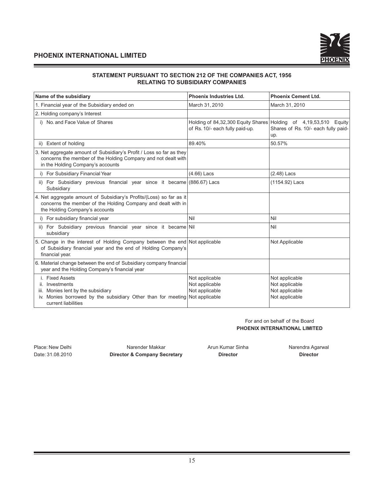

### STATEMENT PURSUANT TO SECTION 212 OF THE COMPANIES ACT, 1956 **RELATING TO SUBSIDIARY COMPANIES**

| Name of the subsidiary                                                                                                                                                     | <b>Phoenix Industries Ltd.</b>                                       | <b>Phoenix Cement Ltd.</b>                                                                                     |
|----------------------------------------------------------------------------------------------------------------------------------------------------------------------------|----------------------------------------------------------------------|----------------------------------------------------------------------------------------------------------------|
| 1. Financial year of the Subsidiary ended on                                                                                                                               | March 31, 2010                                                       | March 31, 2010                                                                                                 |
| 2. Holding company's Interest                                                                                                                                              |                                                                      |                                                                                                                |
| i) No. and Face Value of Shares                                                                                                                                            | of Rs. 10/- each fully paid-up.                                      | Holding of 84,32,300 Equity Shares Holding of 4,19,53,510 Equity<br>Shares of Rs. 10/- each fully paid-<br>up. |
| ii) Extent of holding                                                                                                                                                      | 89.40%                                                               | 50.57%                                                                                                         |
| 3. Net aggregate amount of Subsidiary's Profit / Loss so far as they<br>concerns the member of the Holding Company and not dealt with<br>in the Holding Company's accounts |                                                                      |                                                                                                                |
| i) For Subsidiary Financial Year                                                                                                                                           | (4.66) Lacs                                                          | $(2.48)$ Lacs                                                                                                  |
| ii) For Subsidiary previous financial year since it became (886.67) Lacs<br>Subsidiary                                                                                     |                                                                      | (1154.92) Lacs                                                                                                 |
| 4. Net aggregate amount of Subsidiary's Profits/(Loss) so far as it<br>concerns the member of the Holding Company and dealt with in<br>the Holding Company's accounts      |                                                                      |                                                                                                                |
| i) For subsidiary financial year                                                                                                                                           | Nil                                                                  | Nil                                                                                                            |
| ii) For Subsidiary previous financial year since it became Nil<br>subsidiary                                                                                               |                                                                      | Nil                                                                                                            |
| 5. Change in the interest of Holding Company between the end Not applicable<br>of Subsidiary financial year and the end of Holding Company's<br>financial year.            |                                                                      | Not Applicable                                                                                                 |
| 6. Material change between the end of Subsidiary company financial<br>year and the Holding Company's financial year                                                        |                                                                      |                                                                                                                |
| i. Fixed Assets<br>ii. Investments<br>iii. Monies lent by the subsidiary<br>iv. Monies borrowed by the subsidiary Other than for meeting<br>current liabilities            | Not applicable<br>Not applicable<br>Not applicable<br>Not applicable | Not applicable<br>Not applicable<br>Not applicable<br>Not applicable                                           |

### For and on behalf of the Board **PHOENIX INTERNATIONAL LIMITED**

Place: New Delhi Narender Makkar Arun Kumar Sinha Narendra Agarwal Arun Kumar Sinha Narendra Agarwal Date: 31.08.2010 **Facturization Extending Facture Figures Figures Figures Figures Figures Figures Figures Figures Figures Figures Figures Figures Figures Figures Figures Figures Figures Fi**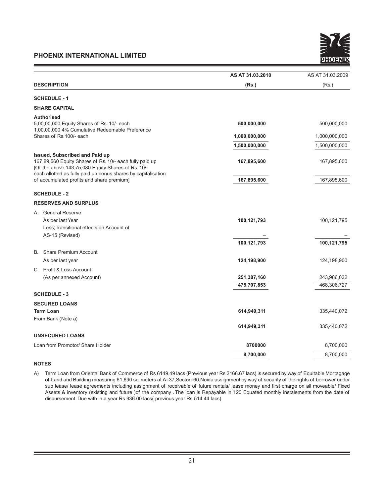

|                                                                                                                                                                                                                  | AS AT 31.03.2010 | AS AT 31.03.2009 |
|------------------------------------------------------------------------------------------------------------------------------------------------------------------------------------------------------------------|------------------|------------------|
| <b>DESCRIPTION</b>                                                                                                                                                                                               | (Rs.)            | (Rs.)            |
| <b>SCHEDULE - 1</b>                                                                                                                                                                                              |                  |                  |
| <b>SHARE CAPITAL</b>                                                                                                                                                                                             |                  |                  |
| <b>Authorised</b><br>5,00,00,000 Equity Shares of Rs. 10/- each<br>1,00,00,000 4% Cumulative Redeemable Preference                                                                                               | 500,000,000      | 500,000,000      |
| Shares of Rs.100/- each                                                                                                                                                                                          | 1,000,000,000    | 1,000,000,000    |
|                                                                                                                                                                                                                  | 1,500,000,000    | 1,500,000,000    |
| Issued, Subscribed and Paid up<br>167,89,560 Equity Shares of Rs. 10/- each fully paid up<br>[Of the above 143,75,080 Equity Shares of Rs. 10/-<br>each allotted as fully paid up bonus shares by capitalisation | 167,895,600      | 167,895,600      |
| of accumulated profits and share premium]                                                                                                                                                                        | 167,895,600      | 167,895,600      |
| <b>SCHEDULE - 2</b>                                                                                                                                                                                              |                  |                  |
| <b>RESERVES AND SURPLUS</b>                                                                                                                                                                                      |                  |                  |
| A. General Reserve                                                                                                                                                                                               |                  |                  |
| As per last Year                                                                                                                                                                                                 | 100,121,793      | 100,121,795      |
| Less; Transitional effects on Account of                                                                                                                                                                         |                  |                  |
| AS-15 (Revised)                                                                                                                                                                                                  |                  |                  |
|                                                                                                                                                                                                                  | 100,121,793      | 100,121,795      |
| <b>B.</b> Share Premium Account                                                                                                                                                                                  |                  |                  |
| As per last year                                                                                                                                                                                                 | 124,198,900      | 124,198,900      |
| C. Profit & Loss Account                                                                                                                                                                                         |                  |                  |
| (As per annexed Account)                                                                                                                                                                                         | 251,387,160      | 243,986,032      |
|                                                                                                                                                                                                                  | 475,707,853      | 468,306,727      |
| <b>SCHEDULE - 3</b>                                                                                                                                                                                              |                  |                  |
| <b>SECURED LOANS</b>                                                                                                                                                                                             |                  |                  |
| <b>Term Loan</b>                                                                                                                                                                                                 | 614,949,311      | 335,440,072      |
| From Bank (Note a)                                                                                                                                                                                               |                  |                  |
|                                                                                                                                                                                                                  | 614,949,311      | 335,440,072      |
| <b>UNSECURED LOANS</b>                                                                                                                                                                                           |                  |                  |
| Loan from Promotor/ Share Holder                                                                                                                                                                                 | 8700000          | 8,700,000        |
|                                                                                                                                                                                                                  | 8,700,000        | 8,700,000        |

### **NOTES**

A) Term Loan from Oriental Bank of Commerce of Rs 6149.49 lacs (Previous year Rs 2166.67 lacs) is secured by way of Equitable Mortagage of Land and Building measuring 61,690 sq. meters at A=37,Sector=60,Noida assignment by way of security of the rights of borrower under sub lease/ lease agreements including assignment of receivable of future rentals/ lease money and first charge on all moveable/ Fixed Assets & inventory (existing and future ) of the company . The loan is Repayable in 120 Equated monthly instalements from the date of disbursement. Due with in a year Rs 936.00 lacs( previous year Rs 514.44 lacs)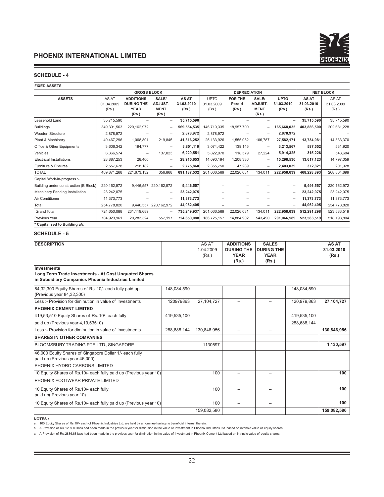

### **SCHEDULE - 4**

#### **FIXED ASSETS**

|                                       | <b>GROSS BLOCK</b>           |                                                      | <b>DEPRECIATION</b>             |                              |                                    |                                   | <b>NET BLOCK</b>                |                                    |                              |                              |
|---------------------------------------|------------------------------|------------------------------------------------------|---------------------------------|------------------------------|------------------------------------|-----------------------------------|---------------------------------|------------------------------------|------------------------------|------------------------------|
| <b>ASSETS</b>                         | AS AT<br>01.04.2009<br>(Rs.) | <b>ADDITIONS</b><br><b>DURING THE</b><br><b>YEAR</b> | SALE/<br>ADJUST-<br><b>MENT</b> | AS AT<br>31.03.2010<br>(Rs.) | <b>UPTO</b><br>31.03.2009<br>(Rs.) | <b>FOR THE</b><br>Peroid<br>(Rs.) | SALE/<br>ADJUST-<br><b>MENT</b> | <b>UPTO</b><br>31.03.2010<br>(Rs.) | AS AT<br>31.03.2010<br>(Rs.) | AS AT<br>31.03.2009<br>(Rs.) |
|                                       |                              | (Rs.)                                                | (Rs.)                           |                              |                                    |                                   | (Rs.)                           |                                    |                              |                              |
| Leasehold Land                        | 35,715,590                   |                                                      | $\qquad \qquad -$               | 35,715,590                   |                                    |                                   |                                 |                                    | 35,715,590                   | 35,715,590                   |
| <b>Buildings</b>                      | 349,391,563                  | 220, 162, 972                                        | $\qquad \qquad -$               | 569,554,535                  | 146,710,335                        | 18,957,700                        | $\overline{\phantom{0}}$        | 165,668,035                        | 403,886,500                  | 202,681,228                  |
| Wooden Structure                      | 2,878,972                    |                                                      | $\qquad \qquad$                 | 2,878,972                    | 2,878,972                          |                                   | -                               | 2,878,972                          |                              |                              |
| Plant & Machinery                     | 40,467,296                   | 1,068,801                                            | 219,845                         | 41,316,252                   | 26,133,926                         | 1,555,032                         | 106,787                         | 27,582,171                         | 13,734,081                   | 14,333,370                   |
| Office & Other Equipments             | 3,606,342                    | 194,777                                              | $\qquad \qquad -$               | 3,801,119                    | 3,074,422                          | 139,145                           | $\overline{\phantom{0}}$        | 3,213,567                          | 587,552                      | 531,920                      |
| Vehicles                              | 6,366,574                    | $\overline{\phantom{0}}$                             | 137,023                         | 6,229,551                    | 5,822,970                          | 118,579                           | 27,224                          | 5,914,325                          | 315,226                      | 543,604                      |
| <b>Electrical Installations</b>       | 28,887,253                   | 28,400                                               | $\overline{\phantom{m}}$        | 28,915,653                   | 14,090,194                         | 1,208,336                         | $\overline{\phantom{0}}$        | 15,298,530                         | 13,617,123                   | 14,797,059                   |
| Furniture & Fixtures                  | 2,557,678                    | 218,182                                              | $\overline{\phantom{m}}$        | 2,775,860                    | 2,355,750                          | 47,289                            | -                               | 2,403,039                          | 372,821                      | 201,928                      |
| <b>TOTAL</b>                          | 469,871,268                  | 221,673,132                                          | 356,868                         | 691,187,532                  | 201,066,569                        | 22,026,081                        | 134,011                         | 222,958,639                        | 468,228,893                  | 268,804,699                  |
| Capital Work-in-progress :-           |                              |                                                      |                                 |                              |                                    |                                   |                                 |                                    |                              |                              |
| Building under construction (B Block) | 220, 162, 972                | 9,446,557                                            | 220, 162, 972                   | 9,446,557                    |                                    |                                   |                                 |                                    | 9,446,557                    | 220, 162, 972                |
| Machinery Pending Installation        | 23,242,075                   |                                                      | $\qquad \qquad -$               | 23,242,075                   |                                    | -                                 |                                 |                                    | 23,242,075                   | 23,242,075                   |
| Air Conditioner                       | 11,373,773                   |                                                      | $\qquad \qquad -$               | 11,373,773                   | ۰                                  | -                                 | -                               | -                                  | 11,373,773                   | 11,373,773                   |
| Total                                 | 254,778,820                  | 9,446,557                                            | 220, 162, 972                   | 44,062,405                   | $\overline{\phantom{a}}$           | -                                 | -                               |                                    | 44,062,405                   | 254,778,820                  |
| <b>Grand Total</b>                    | 724,650,088                  | 231,119,689                                          | $\overline{\phantom{m}}$        | 735,249,937                  | 201,066,569                        | 22,026,081                        | 134,011                         | 222,958,639                        | 512,291,298                  | 523,583,519                  |
| Previous Year                         | 704,923,961                  | 20,283,324                                           | 557,197                         | 724,650,088                  | 186,725,157                        | 14,884,902                        | 543,490                         | 201,066,589                        | 523,583,519                  | 518,198,804                  |
| * Capitalised to Building a/c         |                              |                                                      |                                 |                              |                                    |                                   |                                 |                                    |                              |                              |

### **SCHEDULE - 5**

| <b>DESCRIPTION</b>                                                                                                         |             | AS AT<br>1.04.2009<br>(Rs.) | <b>ADDITIONS</b><br><b>DURING THE</b><br><b>YEAR</b><br>(Rs.) | <b>SALES</b><br><b>DURING THE</b><br><b>YEAR</b><br>(Rs.) |             | AS AT<br>31.03.2010<br>(Rs.) |
|----------------------------------------------------------------------------------------------------------------------------|-------------|-----------------------------|---------------------------------------------------------------|-----------------------------------------------------------|-------------|------------------------------|
| Investments<br>Long Term Trade Investments - At Cost Unquoted Shares<br>in Subsidiary Companies Phoenix Industries Limited |             |                             |                                                               |                                                           |             |                              |
| 84,32,300 Equity Shares of Rs. 10/- each fully paid up.<br>(Previous year 84,32,300)                                       | 148,084,590 |                             |                                                               |                                                           | 148,084,590 |                              |
| Less :- Provision for diminution in value of Investments                                                                   | 120979863   | 27.104.727                  | $\overline{\phantom{0}}$                                      | $\overline{\phantom{0}}$                                  | 120,979,863 | 27,104,727                   |
| <b>PHOENIX CEMENT LIMITED</b>                                                                                              |             |                             |                                                               |                                                           |             |                              |
| 419,53,510 Equity Shares of Rs. 10/- each fully                                                                            | 419,535,100 |                             |                                                               |                                                           | 419,535,100 |                              |
| paid up (Previous year 4,19,53510)                                                                                         |             |                             |                                                               |                                                           | 288,688,144 |                              |
| Less :- Provision for diminution in value of Investments                                                                   | 288.688.144 | 130.846.956                 | $\overline{\phantom{0}}$                                      |                                                           |             | 130,846,956                  |
| <b>SHARES IN OTHER COMPANIES</b>                                                                                           |             |                             |                                                               |                                                           |             |                              |
| BLOOMSBURY TRADING PTE. LTD., SINGAPORE                                                                                    |             | 1130597                     |                                                               |                                                           |             | 1,130,597                    |
| 46,000 Equity Shares of Singapore Dollar 1/- each fully<br>paid up (Previous year 46,000)                                  |             |                             |                                                               |                                                           |             |                              |
| PHOENIX HYDRO CARBONS LIMITED                                                                                              |             |                             |                                                               |                                                           |             |                              |
| 10 Equity Shares of Rs.10/- each fully paid up (Previous year 10)                                                          |             | 100                         | $\overline{\phantom{0}}$                                      | $\overline{\phantom{0}}$                                  |             | 100                          |
| <b>PHOENIX FOOTWEAR PRIVATE LIMITED</b>                                                                                    |             |                             |                                                               |                                                           |             |                              |
| 10 Equity Shares of Rs.10/- each fully<br>paid up( Previous year 10)                                                       |             | 100                         |                                                               |                                                           |             | 100                          |
| 10 Equity Shares of Rs.10/- each fully paid up (Previous year 10)                                                          |             | 100                         | $\overline{\phantom{0}}$                                      |                                                           |             | 100                          |
|                                                                                                                            |             | 159,082,580                 |                                                               |                                                           |             | 159,082,580                  |

### **NOTES:**

a. 100 Equity Shares of Rs.10/- each of Phoenix Industries Ltd. are held by a nominee having no beneficial interest therein.<br>b. A Provision of Rs.1209.80 lacs had been made in the previous year for diminution in the va

c. A Provision of Rs. 2886.88 lacs had been made in the previous year for diminution in the value of investment in Phoenix Cement Ltd based on intrinsic value of equity shares.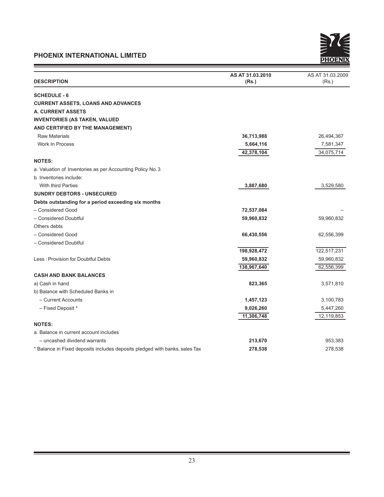<u>and the contract of the contract of the contract of the contract of the contract of the contract of the contract of the contract of the contract of the contract of the contract of the contract of the contract of the contr</u>



| <b>DESCRIPTION</b>                                                          | AS AT 31.03.2010<br>(Rs.) | AS AT 31.03.2009<br>(Rs.) |
|-----------------------------------------------------------------------------|---------------------------|---------------------------|
| <b>SCHEDULE - 6</b>                                                         |                           |                           |
| <b>CURRENT ASSETS, LOANS AND ADVANCES</b>                                   |                           |                           |
| <b>A. CURRENT ASSETS</b>                                                    |                           |                           |
| <b>INVENTORIES (AS TAKEN, VALUED</b>                                        |                           |                           |
| AND CERTIFIED BY THE MANAGEMENT)                                            |                           |                           |
| <b>Raw Materials</b>                                                        | 36,713,988                | 26,494,367                |
| Work In Process                                                             | 5,664,116                 | 7,581,347                 |
|                                                                             | 42,378,104                | 34,075,714                |
| <b>NOTES:</b>                                                               |                           |                           |
| a. Valuation of Inventories as per Accounting Policy No. 3                  |                           |                           |
| b. Inventories include:                                                     |                           |                           |
| <b>With third Parties</b>                                                   | 3,887,680                 | 3,529,580                 |
| <b>SUNDRY DEBTORS - UNSECURED</b>                                           |                           |                           |
| Debts outstanding for a period exceeding six months                         |                           |                           |
| - Considered Good                                                           | 72,537,084                |                           |
| - Considered Doubtful                                                       | 59,960,832                | 59,960,832                |
| Others debts                                                                |                           |                           |
| - Considered Good                                                           | 66,430,556                | 62,556,399                |
| - Considered Doubtful                                                       |                           |                           |
|                                                                             | 198,928,472               | 122,517,231               |
| Less: Provision for Doubtful Debts                                          | 59,960,832                | 59,960,832                |
|                                                                             | 138,967,640               | 62,556,399                |
| <b>CASH AND BANK BALANCES</b>                                               |                           |                           |
| a) Cash in hand                                                             | 823,365                   | 3,571,810                 |
| b) Balance with Scheduled Banks in                                          |                           |                           |
| - Current Accounts                                                          | 1,457,123                 | 3,100,783                 |
| - Fixed Deposit *                                                           | 9,026,260                 | 5,447,260                 |
|                                                                             | 11,306,748                | 12,119,853                |
| <b>NOTES:</b>                                                               |                           |                           |
| a. Balance in current account includes                                      |                           |                           |
| - uncashed dividend warrants                                                | 213,670                   | 953,383                   |
| * Balance in Fixed deposits includes deposits pledged with banks, sales Tax | 278,538                   | 278,538                   |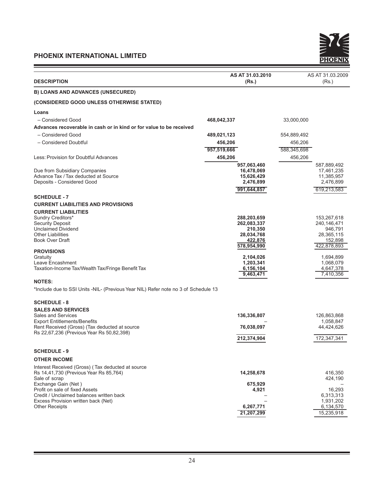

| <b>DESCRIPTION</b>                                                                   | AS AT 31.03.2010<br>(Rs.) |             | AS AT 31.03.2009<br>(Rs.) |
|--------------------------------------------------------------------------------------|---------------------------|-------------|---------------------------|
| <b>B) LOANS AND ADVANCES (UNSECURED)</b>                                             |                           |             |                           |
| (CONSIDERED GOOD UNLESS OTHERWISE STATED)                                            |                           |             |                           |
| Loans                                                                                |                           |             |                           |
| - Considered Good                                                                    | 468,042,337               | 33,000,000  |                           |
| Advances recoverable in cash or in kind or for value to be received                  |                           |             |                           |
| - Considered Good                                                                    | 489,021,123               | 554,889,492 |                           |
| - Considered Doubtful                                                                | 456.206                   | 456,206     |                           |
|                                                                                      | 957,519,666               | 588,345,698 |                           |
| Less: Provision for Doubtful Advances                                                | 456,206                   | 456,206     |                           |
|                                                                                      | 957,063,460               |             |                           |
| Due from Subsidiary Companies                                                        | 16,478,069                |             | 587,889,492<br>17,461,235 |
| Advance Tax / Tax deducted at Source                                                 | 15,626,429                |             | 11,385,957                |
| Deposits - Considered Good                                                           | 2,476,899                 |             | 2,476,899                 |
|                                                                                      | 991,644,857               |             | 619,213,583               |
| <b>SCHEDULE - 7</b>                                                                  |                           |             |                           |
| <b>CURRENT LIABILITIES AND PROVISIONS</b>                                            |                           |             |                           |
| <b>CURRENT LIABILITIES</b>                                                           |                           |             |                           |
| Sundry Creditors*                                                                    | 288,203,659               |             | 153,267,618               |
| <b>Security Deposit</b><br><b>Unclaimed Dividend</b>                                 | 262,083,337<br>210,350    |             | 240,146,471<br>946,791    |
| <b>Other Liabilities</b>                                                             | 28,034,768                |             | 28,365,115                |
| <b>Book Over Draft</b>                                                               | 422.876                   |             | 152,898                   |
|                                                                                      | 578,954,990               |             | 422,878,893               |
| <b>PROVISIONS</b><br>Gratuity                                                        | 2,104,026                 |             | 1,694,899                 |
| Leave Encashment                                                                     | 1,203,341                 |             | 1,068,079                 |
| Taxation-Income Tax/Wealth Tax/Fringe Benefit Tax                                    | 6,156,104                 |             | 4,647,378                 |
|                                                                                      | 9,463,471                 |             | 7,410,356                 |
| <b>NOTES:</b>                                                                        |                           |             |                           |
| *Include due to SSI Units -NIL- (Previous Year NIL) Refer note no 3 of Schedule 13   |                           |             |                           |
| <b>SCHEDULE - 8</b>                                                                  |                           |             |                           |
| <b>SALES AND SERVICES</b>                                                            |                           |             |                           |
| <b>Sales and Services</b>                                                            | 136,336,807               |             | 126,863,868               |
| <b>Export Entitlements/Benefits</b><br>Rent Received (Gross) (Tax deducted at source | 76,038,097                |             | 1,058,847<br>44,424,626   |
| Rs 22,67,236 (Previous Year Rs 50,82,398)                                            |                           |             |                           |
|                                                                                      | 212,374,904               |             | 172,347,341               |
| <b>SCHEDULE - 9</b>                                                                  |                           |             |                           |
| <b>OTHER INCOME</b>                                                                  |                           |             |                           |
| Interest Received (Gross) (Tax deducted at source                                    |                           |             |                           |
| Rs 14,41,730 (Previous Year Rs 85,764)                                               | 14,258,678                |             | 416,350                   |
| Sale of scrap                                                                        |                           |             | 424,190                   |
| Exchange Gain (Net)<br>Profit on sale of fixed Assets                                | 675,929<br>4,921          |             | 16,293                    |
| Credit / Unclaimed balances written back                                             |                           |             | 6,313,313                 |
| Excess Provision written back (Net)                                                  |                           |             | 1,931,202                 |
| <b>Other Receipts</b>                                                                | 6,267,771                 |             | 6,134,570                 |
|                                                                                      | 21,207,299                |             | 15,235,918                |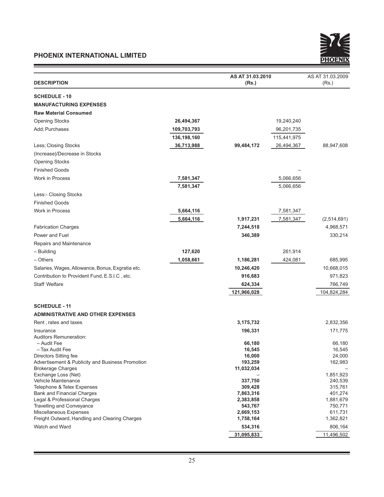and the control of the control of the control of



| <b>DESCRIPTION</b>                                                           |             | AS AT 31.03.2010<br>(Rs.) |             | AS AT 31.03.2009<br>(Rs.) |
|------------------------------------------------------------------------------|-------------|---------------------------|-------------|---------------------------|
| <b>SCHEDULE - 10</b>                                                         |             |                           |             |                           |
| <b>MANUFACTURING EXPENSES</b>                                                |             |                           |             |                           |
| <b>Raw Material Consumed</b>                                                 |             |                           |             |                           |
| <b>Opening Stocks</b>                                                        | 26,494,367  |                           | 19,240,240  |                           |
| Add; Purchases                                                               | 109,703,793 |                           | 96,201,735  |                           |
|                                                                              | 136,198,160 |                           | 115,441,975 |                           |
| Less; Closing Stocks                                                         | 36,713,988  | 99,484,172                | 26,494,367  | 88,947,608                |
| (Increase)/Decrease in Stocks                                                |             |                           |             |                           |
| <b>Opening Stocks</b>                                                        |             |                           |             |                           |
| <b>Finished Goods</b>                                                        |             |                           |             |                           |
| Work in Process                                                              | 7,581,347   |                           | 5,066,656   |                           |
|                                                                              | 7,581,347   |                           | 5,066,656   |                           |
| Less:- Closing Stocks                                                        |             |                           |             |                           |
| <b>Finished Goods</b>                                                        |             |                           |             |                           |
| Work in Process                                                              | 5,664,116   |                           | 7,581,347   |                           |
|                                                                              | 5,664,116   | 1,917,231                 | 7,581,347   | (2,514,691)               |
| <b>Fabrication Charges</b>                                                   |             | 7,244,518                 |             | 4,968,571                 |
| Power and Fuel                                                               |             | 346,389                   |             | 330,214                   |
| Repairs and Maintenance                                                      |             |                           |             |                           |
| – Building                                                                   | 127,620     |                           | 261,914     |                           |
| $-$ Others                                                                   | 1,058,661   | 1,186,281                 | 424,081     | 685,995                   |
| Salaries, Wages, Allowance, Bonus, Exgratia etc.                             |             | 10,246,420                |             | 10,668,015                |
| Contribution to Provident Fund, E.S.I.C, etc.                                |             | 916,683                   |             | 971,823                   |
| <b>Staff Welfare</b>                                                         |             | 624,334                   |             | 766,749                   |
|                                                                              |             | 121,966,028               |             | 104,824,284               |
| <b>SCHEDULE - 11</b>                                                         |             |                           |             |                           |
| <b>ADMINISTRATIVE AND OTHER EXPENSES</b>                                     |             |                           |             |                           |
| Rent, rates and taxes                                                        |             | 3,175,732                 |             | 2,832,356                 |
| Insurance<br><b>Auditors Remuneration:</b>                                   |             | 196,331                   |             | 171,775                   |
| - Audit Fee                                                                  |             | 66,180                    |             | 66,180                    |
| – Tax Audit Fee                                                              |             | 16,545                    |             | 16,545                    |
| Directors Sitting fee                                                        |             | 16,000                    |             | 24,000                    |
| Advertisement & Publicity and Business Promotion<br><b>Brokerage Charges</b> |             | 193,259<br>11,032,034     |             | 162,983                   |
| Exchange Loss (Net)                                                          |             |                           |             | 1,851,923                 |
| Vehicle Maintenance                                                          |             | 337,750                   |             | 240,539                   |
| Telephone & Telex Expenses<br><b>Bank and Financial Charges</b>              |             | 309,428<br>7,863,316      |             | 315,761<br>401,274        |
| Legal & Professional Charges                                                 |             | 2,383,858                 |             | 1,881,679                 |
| Travelling and Conveyance                                                    |             | 543,767                   |             | 750,771                   |
| Miscellaneous Expenses<br>Freight Outward, Handling and Clearing Charges     |             | 2,669,153<br>1,758,164    |             | 611,731<br>1,362,821      |
| Watch and Ward                                                               |             | 534,316                   |             | 806,164                   |
|                                                                              |             | 31,095,833                |             | 11,496,502                |
|                                                                              |             |                           |             |                           |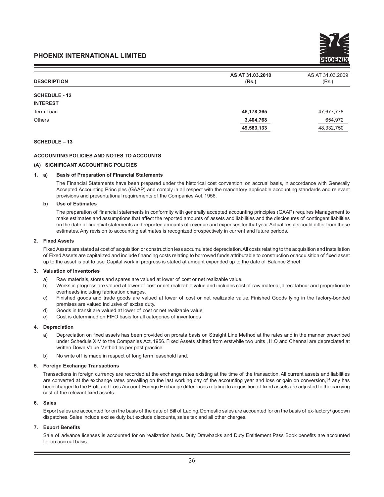

| <b>DESCRIPTION</b>   | AS AT 31.03.2010<br>(Rs.) | AS AT 31.03.2009<br>(Rs.) |
|----------------------|---------------------------|---------------------------|
|                      |                           |                           |
| <b>SCHEDULE - 12</b> |                           |                           |
| <b>INTEREST</b>      |                           |                           |
| Term Loan            | 46,178,365                | 47,677,778                |
| <b>Others</b>        | 3,404,768                 | 654,972                   |
|                      | 49,583,133                | 48,332,750                |

### **SCHEDULE - 13**

### **ACCOUNTING POLICIES AND NOTES TO ACCOUNTS**

#### **(A) SIGNIFICANT ACCOUNTING POLICIES**

#### 1. a) Basis of Preparation of Financial Statements

 The Financial Statements have been prepared under the historical cost convention, on accrual basis, in accordance with Generally Accepted Accounting Principles (GAAP) and comply in all respect with the mandatory applicable accounting standards and relevant provisions and presentational requirements of the Companies Act, 1956.

#### **b)** Use of Estimates

 The preparation of financial statements in conformity with generally accepted accounting principles (GAAP) requires Management to make estimates and assumptions that affect the reported amounts of assets and liabilities and the disclosures of contingent liabilities on the date of financial statements and reported amounts of revenue and expenses for that year. Actual results could differ from these estimates. Any revision to accounting estimates is recognized prospectively in current and future periods.

#### 2 **Fixed Assets**

Fixed Assets are stated at cost of acquisition or construction less accumulated depreciation. All costs relating to the acquisition and installation of Fixed Assets are capitalized and include financing costs relating to borrowed funds attributable to construction or acquisition of fixed asset up to the asset is put to use. Capital work in progress is stated at amount expended up to the date of Balance Sheet.

#### **3.** Valuation of Inventories

- a) Raw materials, stores and spares are valued at lower of cost or net realizable value.
- b) Works in progress are valued at lower of cost or net realizable value and includes cost of raw material, direct labour and proportionate overheads including fabrication charges.
- c) Finished goods and trade goods are valued at lower of cost or net realizable value. Finished Goods lying in the factory-bonded premises are valued inclusive of excise duty.
- d) Goods in transit are valued at lower of cost or net realizable value.
- e) Cost is determined on FIFO basis for all categories of inventories

#### **4** Depreciation

- a) Depreciation on fixed assets has been provided on prorata basis on Straight Line Method at the rates and in the manner prescribed under Schedule XIV to the Companies Act, 1956. Fixed Assets shifted from erstwhile two units , H.O and Chennai are depreciated at written Down Value Method as per past practice.
- b) No write off is made in respect of long term leasehold land.

#### **5. Foreign Exchange Transactions**

Transactions in foreign currency are recorded at the exchange rates existing at the time of the transaction. All current assets and liabilities are converted at the exchange rates prevailing on the last working day of the accounting year and loss or gain on conversion, if any has been charged to the Profit and Loss Account. Foreign Exchange differences relating to acquisition of fixed assets are adjusted to the carrying cost of the relevant fixed assets.

### 6 Sales

Export sales are accounted for on the basis of the date of Bill of Lading. Domestic sales are accounted for on the basis of ex-factory/ godown dispatches. Sales include excise duty but exclude discounts, sales tax and all other charges.

#### **7.** Export Benefits

Sale of advance licenses is accounted for on realization basis. Duty Drawbacks and Duty Entitlement Pass Book benefits are accounted for on accrual basis.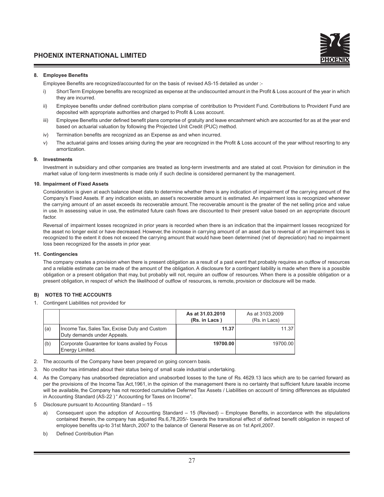### 8. Employee Benefits

Employee Benefits are recognized/accounted for on the basis of revised AS-15 detailed as under :-

- i) Short Term Employee benefits are recognized as expense at the undiscounted amount in the Profit & Loss account of the year in which they are incurred.
- ii) Employee benefits under defined contribution plans comprise of contribution to Provident Fund. Contributions to Provident Fund are deposited with appropriate authorities and charged to Profit & Loss account.
- iii) Employee Benefits under defined benefit plans comprise of gratuity and leave encashment which are accounted for as at the year end based on actuarial valuation by following the Projected Unit Credit (PUC) method.
- iv) Termination benefits are recognized as an Expense as and when incurred.
- v) The actuarial gains and losses arising during the year are recognized in the Profit & Loss account of the year without resorting to any amortization.

### **9** Investments

Investment in subsidiary and other companies are treated as long-term investments and are stated at cost. Provision for diminution in the market value of long-term investments is made only if such decline is considered permanent by the management.

#### **10. Impairment of Fixed Assets**

Consideration is given at each balance sheet date to determine whether there is any indication of impairment of the carrying amount of the Company's Fixed Assets. If any indication exists, an asset's recoverable amount is estimated. An impairment loss is recognized whenever the carrying amount of an asset exceeds its recoverable amount. The recoverable amount is the greater of the net selling price and value in use. In assessing value in use, the estimated future cash flows are discounted to their present value based on an appropriate discount factor.

Reversal of impairment losses recognized in prior years is recorded when there is an indication that the impairment losses recognized for the asset no longer exist or have decreased. However, the increase in carrying amount of an asset due to reversal of an impairment loss is recognized to the extent it does not exceed the carrying amount that would have been determined (net of depreciation) had no impairment loss been recognized for the assets in prior year.

### **11. Contingencies**

The company creates a provision when there is present obligation as a result of a past event that probably requires an outflow of resources and a reliable estimate can be made of the amount of the obligation. A disclosure for a contingent liability is made when there is a possible obligation or a present obligation that may, but probably will not, require an outflow of resources. When there is a possible obligation or a present obligation, in respect of which the likelihood of outflow of resources, is remote, provision or disclosure will be made.

### **B) NOTES TO THE ACCOUNTS**

1. Contingent Liabilities not provided for

|     |                                                                              | As at 31.03.2010<br>(Rs. in Lacs) | As at 3103,2009<br>(Rs. in Lacs) |
|-----|------------------------------------------------------------------------------|-----------------------------------|----------------------------------|
| (a) | Income Tax, Sales Tax, Excise Duty and Custom<br>Duty demands under Appeals. | 11.37                             | 11.37                            |
| (b) | Corporate Guarantee for loans availed by Focus<br>Energy Limited.            | 19700.00                          | 19700.00                         |

- 2. The accounts of the Company have been prepared on going concern basis.
- 3. No creditor has intimated about their status being of small scale industrial undertaking.
- 4. As the Company has unabsorbed depreciation and unabsorbed losses to the tune of Rs. 4629.13 lacs which are to be carried forward as per the provisions of the Income Tax Act,1961, in the opinion of the management there is no certainty that sufficient future taxable income will be available, the Company has not recorded cumulative Deferred Tax Assets / Liabilities on account of timing differences as stipulated in Accounting Standard (AS-22 ) " Accounting for Taxes on Income".
- 5 Disclosure pursuant to Accounting Standard 15
	- a) Consequent upon the adoption of Accounting Standard 15 (Revised) Employee Benefits, in accordance with the stipulations contained therein, the company has adjusted Rs.6,78,205/- towards the transitional effect of defined benefit obligation in respect of employee benefits up-to 31st March, 2007 to the balance of General Reserve as on 1st April,2007.
	- b) Defined Contribution Plan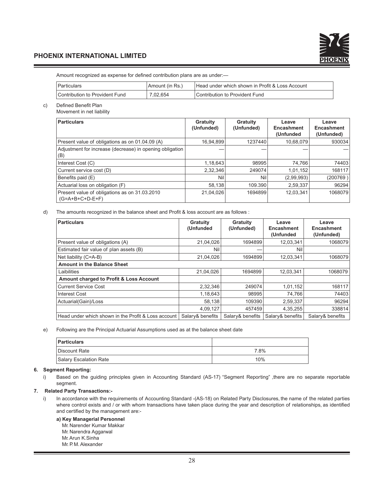

Amount recognized as expense for defined contribution plans are as under:—

| <b>Particulars</b>             | Amount (in Rs.) | Head under which shown in Profit & Loss Account |
|--------------------------------|-----------------|-------------------------------------------------|
| Contribution to Provident Fund | 7.02.654        | Contribution to Provident Fund                  |

### c) Defined Benefit Plan

| Movement in net liability |  |  |
|---------------------------|--|--|
|                           |  |  |

| <b>Particulars</b>                                                 | Gratuity<br>(Unfunded) | Gratuity<br>(Unfunded) | Leave<br><b>Encashment</b><br>(Unfunded | Leave<br><b>Encashment</b><br>(Unfunded) |
|--------------------------------------------------------------------|------------------------|------------------------|-----------------------------------------|------------------------------------------|
| Present value of obligations as on 01.04.09 (A)                    | 16,94,899              | 1237440                | 10,68,079                               | 930034                                   |
| Adjustment for increase (decrease) in opening obligation<br>(B)    |                        |                        |                                         |                                          |
| Interest Cost (C)                                                  | 1,18,643               | 98995                  | 74,766                                  | 74403                                    |
| Current service cost (D)                                           | 2,32,346               | 249074                 | 1,01,152                                | 168117                                   |
| Benefits paid (E)                                                  | Nil                    | Nil                    | (2,99,993)                              | (200769)                                 |
| Actuarial loss on obligation (F)                                   | 58,138                 | 109.390                | 2,59,337                                | 96294                                    |
| Present value of obligations as on 31.03.2010<br>$(G=A+B+C+D-E+F)$ | 21,04,026              | 1694899                | 12,03,341                               | 1068079                                  |

d) The amounts recognized in the balance sheet and Profit & loss account are as follows :

| <b>Particulars</b>                                  | Gratuity<br>(Unfunded | Gratuity<br>(Unfunded) | Leave<br><b>Encashment</b><br>(Unfunded | Leave<br>Encashment<br>(Unfunded) |  |  |
|-----------------------------------------------------|-----------------------|------------------------|-----------------------------------------|-----------------------------------|--|--|
| Present value of obligations (A)                    | 21,04,026             | 1694899                | 12,03,341                               | 1068079                           |  |  |
| Estimated fair value of plan assets (B)             | Nil                   |                        | Nil                                     |                                   |  |  |
| Net liability (C=A-B)                               | 21,04,026             | 1694899                | 12,03,341                               | 1068079                           |  |  |
| <b>Amount in the Balance Sheet</b>                  |                       |                        |                                         |                                   |  |  |
| Laibilities                                         | 21,04,026             | 1694899                | 12,03,341                               | 1068079                           |  |  |
| Amount charged to Profit & Loss Account             |                       |                        |                                         |                                   |  |  |
| <b>Current Service Cost</b>                         | 2,32,346              | 249074                 | 1,01,152                                | 168117                            |  |  |
| <b>Interest Cost</b>                                | 1,18,643              | 98995                  | 74.766                                  | 74403                             |  |  |
| Actuarial(Gain)/Loss                                | 58.138                | 109390                 | 2,59,337                                | 96294                             |  |  |
|                                                     | 4.09.127              | 457459                 | 4,35,255                                | 338814                            |  |  |
| Head under which shown in the Profit & Loss account | Salary& benefits      | Salary& benefits       | Salary& benefits                        | Salary& benefits                  |  |  |

e) Following are the Principal Actuarial Assumptions used as at the balance sheet date

| Particulars            |      |
|------------------------|------|
| Discount Rate          | 7.8% |
| Salary Escalation Rate | 10%  |

### **6.** Segment Reporting:

i) Based on the guiding principles given in Accounting Standard (AS-17) "Segment Reporting" , there are no separate reportable segment.

### **7.** Related Party Transactions:-

i) In accordance with the requirements of Accounting Standard -(AS-18) on Related Party Disclosures, the name of the related parties where control exists and / or with whom transactions have taken place during the year and description of relationships, as identified and certified by the management are:-

### a) Key Managerial Personnel

Mr. Narender Kumar Makkar Mr. Narendra Aggarwal Mr. Arun K.Sinha Mr. P. M. Alexander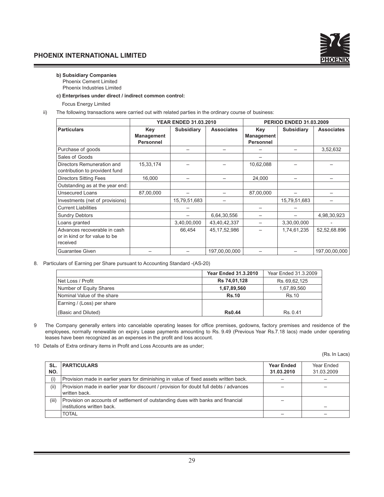

### **b) Subsidiary Companies**

Phoenix Cement Limited Phoenix Industries Limited

### c) Enterprises under direct / indirect common control:

Focus Energy Limited

### ii) The following transactions were carried out with related parties in the ordinary course of business:

|                                                                           |                                       | <b>YEAR ENDED 31.03.2010</b> |                   | <b>PERIOD ENDED 31.03.2009</b>        |                   |                   |
|---------------------------------------------------------------------------|---------------------------------------|------------------------------|-------------------|---------------------------------------|-------------------|-------------------|
| <b>Particulars</b>                                                        | Key<br><b>Management</b><br>Personnel | <b>Subsidiary</b>            | <b>Associates</b> | Key<br><b>Management</b><br>Personnel | <b>Subsidiary</b> | <b>Associates</b> |
| Purchase of goods                                                         |                                       |                              |                   |                                       |                   | 3,52,632          |
| Sales of Goods                                                            |                                       |                              |                   |                                       |                   |                   |
| Directors Remuneration and<br>contribution to provident fund              | 15,33,174                             |                              |                   | 10,62,088                             |                   |                   |
| <b>Directors Sitting Fees</b>                                             | 16,000                                |                              |                   | 24,000                                |                   |                   |
| Outstanding as at the year end:                                           |                                       |                              |                   |                                       |                   |                   |
| <b>Unsecured Loans</b>                                                    | 87,00,000                             |                              |                   | 87,00,000                             |                   |                   |
| Investments (net of provisions)                                           |                                       | 15,79,51,683                 |                   |                                       | 15,79,51,683      |                   |
| <b>Current Liabilities</b>                                                |                                       |                              |                   |                                       |                   |                   |
| <b>Sundry Debtors</b>                                                     |                                       |                              | 6,64,30,556       |                                       |                   | 4,98,30,923       |
| Loans granted                                                             |                                       | 3,40,00,000                  | 43,40,42,337      |                                       | 3,30,00,000       |                   |
| Advances recoverable in cash<br>or in kind or for value to be<br>received |                                       | 66,454                       | 45, 17, 52, 986   |                                       | 1,74,61,235       | 52,52,68.896      |
| <b>Guarantee Given</b>                                                    |                                       |                              | 197,00,00,000     |                                       |                   | 197,00,00,000     |

### 8. Particulars of Earning per Share pursuant to Accounting Standard -(AS-20)

|                            | <b>Year Ended 31.3.2010</b> | Year Ended 31.3.2009 |
|----------------------------|-----------------------------|----------------------|
| Net Loss / Profit          | Rs 74,01,128                | Rs. 69, 62, 125      |
| Number of Equity Shares    | 1,67,89,560                 | 1,67,89,560          |
| Nominal Value of the share | <b>Rs.10</b>                | <b>Rs.10</b>         |
| Earning / (Loss) per share |                             |                      |
| (Basic and Diluted)        | <b>Rs0.44</b>               | Rs. 0.41             |

9 The Company generally enters into cancelable operating leases for office premises, godowns, factory premises and residence of the employees, normally renewable on expiry. Lease payments amounting to Rs. 9.49 (Previous Year Rs.7.18 lacs) made under operating leases have been recognized as an expenses in the profit and loss account.

10 Details of Extra ordinary items in Profit and Loss Accounts are as under;

(Rs. In Lacs)

| NO.   | <b>SL. PARTICULARS</b>                                                                                          | <b>Year Ended</b><br>31.03.2010 | Year Ended<br>31.03.2009 |
|-------|-----------------------------------------------------------------------------------------------------------------|---------------------------------|--------------------------|
| (i)   | Provision made in earlier years for diminishing in value of fixed assets written back.                          |                                 |                          |
| (ii)  | Provision made in earlier year for discount / provision for doubt full debts / advances<br>written back.        |                                 |                          |
| (iii) | Provision on accounts of settlement of outstanding dues with banks and financial<br>linstitutions written back. |                                 |                          |
|       | <b>TOTAL</b>                                                                                                    |                                 |                          |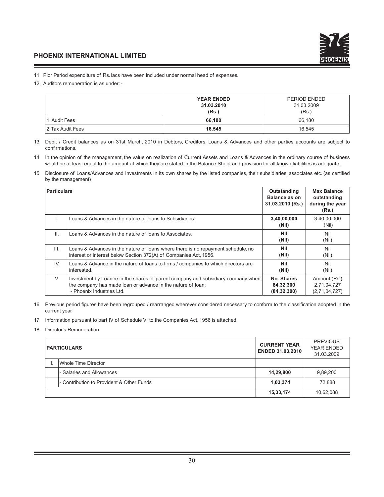

- 11 Pior Period expenditure of Rs. lacs have been included under normal head of expenses.
- 12. Auditors remuneration is as under: -

|                    | <b>YEAR ENDED</b><br>31.03.2010<br>(Rs.) | PERIOD ENDED<br>31.03.2009<br>(Rs.) |
|--------------------|------------------------------------------|-------------------------------------|
| 1. Audit Fees      | 66.180                                   | 66.180                              |
| 12. Tax Audit Fees | 16,545                                   | 16,545                              |

13 Debit / Credit balances as on 31st March, 2010 in Debtors, Creditors, Loans & Advances and other parties accounts are subject to confirmations.

- 14 In the opinion of the management, the value on realization of Current Assets and Loans & Advances in the ordinary course of business would be at least equal to the amount at which they are stated in the Balance Sheet and provision for all known liabilities is adequate.
- 15 Disclosure of Loans/Advances and Investments in its own shares by the listed companies, their subsidiaries, associates etc. (as certified by the management)

| <b>Particulars</b> |                                                                                    | Outstanding<br>Balance as on<br>31.03.2010 (Rs.) | <b>Max Balance</b><br>outstanding<br>during the year<br>(Rs.) |
|--------------------|------------------------------------------------------------------------------------|--------------------------------------------------|---------------------------------------------------------------|
|                    | Loans & Advances in the nature of loans to Subsidiaries.                           | 3,40,00,000<br>(Nil)                             | 3,40,00,000<br>(Nil)                                          |
| $\mathbf{II}$ .    | Loans & Advances in the nature of loans to Associates.                             | <b>Nil</b><br>(Nil)                              | Nil<br>(Nil)                                                  |
| III.               | Loans & Advances in the nature of loans where there is no repayment schedule, no   | <b>Nil</b>                                       | Nil                                                           |
|                    | interest or interest below Section 372(A) of Companies Act, 1956.                  | (Nil)                                            | (Nil)                                                         |
| IV.                | Loans & Advance in the nature of loans to firms / companies to which directors are | <b>Nil</b>                                       | Nil                                                           |
|                    | interested.                                                                        | (Nil)                                            | (Nil)                                                         |
| V.                 | Investment by Loanee in the shares of parent company and subsidiary company when   | No. Shares                                       | Amount (Rs.)                                                  |
|                    | the company has made loan or advance in the nature of loan;                        | 84,32,300                                        | 2,71,04,727                                                   |
|                    | - Phoenix Industries Ltd.                                                          | (84, 32, 300)                                    | (2,71,04,727)                                                 |

- 16 Previous period figures have been regrouped / rearranged wherever considered necessary to conform to the classification adopted in the current year.
- 17 Information pursuant to part IV of Schedule VI to the Companies Act, 1956 is attached.
- 18. Director's Remuneration

| <b>PARTICULARS</b>                        | <b>CURRENT YEAR</b><br>ENDED 31.03.2010 | <b>PREVIOUS</b><br><b>YEAR ENDED</b><br>31.03.2009 |
|-------------------------------------------|-----------------------------------------|----------------------------------------------------|
| Whole Time Director                       |                                         |                                                    |
| - Salaries and Allowances                 | 14,29,800                               | 9,89,200                                           |
| - Contribution to Provident & Other Funds | 1,03,374                                | 72,888                                             |
|                                           | 15,33,174                               | 10,62,088                                          |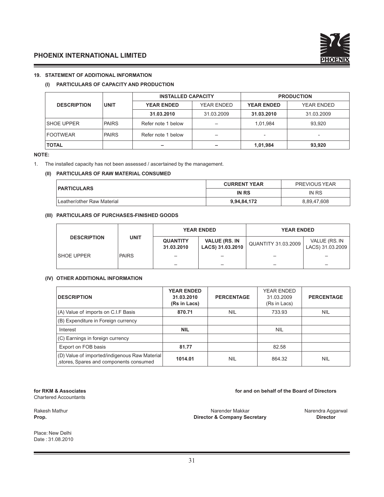

### **19. STATEMENT OF ADDITIONAL INFORMATION**

### (I) PARTICULARS OF CAPACITY AND PRODUCTION

|                    |              | <b>INSTALLED CAPACITY</b> |                   | <b>PRODUCTION</b> |                   |  |
|--------------------|--------------|---------------------------|-------------------|-------------------|-------------------|--|
| <b>DESCRIPTION</b> | <b>UNIT</b>  | <b>YEAR ENDED</b>         | <b>YEAR ENDED</b> | <b>YEAR ENDED</b> | <b>YEAR ENDED</b> |  |
|                    |              | 31.03.2010                | 31.03.2009        | 31.03.2010        | 31.03.2009        |  |
| <b>ISHOE UPPER</b> | <b>PAIRS</b> | Refer note 1 below        |                   | 1,01,984          | 93.920            |  |
| <b>FOOTWEAR</b>    | <b>PAIRS</b> | Refer note 1 below        |                   |                   |                   |  |
| <b>TOTAL</b>       |              |                           |                   | 1,01,984          | 93,920            |  |

### **NOTE:**

1. The installed capacity has not been assessed / ascertained by the management.

### **(II) PARTICULARS OF RAW MATERIAL CONSUMED**

| <b>PARTICULARS</b>           | <b>CURRENT YEAR</b> | <b>PREVIOUS YEAR</b> |
|------------------------------|---------------------|----------------------|
|                              | <b>IN RS</b>        | IN RS                |
| l Leather/other Raw Material | 9,94,84,172         | 8,89,47,608          |

### (III) PARTICULARS OF PURCHASES-FINISHED GOODS

|                    |              | <b>YEAR ENDED</b>             |                                          | <b>YEAR ENDED</b>          |                                   |  |
|--------------------|--------------|-------------------------------|------------------------------------------|----------------------------|-----------------------------------|--|
| <b>DESCRIPTION</b> | <b>UNIT</b>  | <b>QUANTITY</b><br>31.03.2010 | <b>VALUE (RS. IN</b><br>LACS) 31.03.2010 | <b>QUANTITY 31.03.2009</b> | VALUE (RS. IN<br>LACS) 31.03.2009 |  |
| <b>SHOE UPPER</b>  | <b>PAIRS</b> |                               |                                          |                            |                                   |  |
|                    |              |                               |                                          |                            |                                   |  |

### **(IV) OTHER ADDITIONAL INFORMATION**

| <b>DESCRIPTION</b>                                                                      | <b>YEAR ENDED</b><br>31.03.2010<br>(Rs in Lacs) | <b>PERCENTAGE</b> | <b>YEAR ENDED</b><br>31.03.2009<br>(Rs in Lacs) | <b>PERCENTAGE</b> |
|-----------------------------------------------------------------------------------------|-------------------------------------------------|-------------------|-------------------------------------------------|-------------------|
| (A) Value of imports on C.I.F Basis                                                     | 870.71                                          | <b>NIL</b>        | 733.93                                          | <b>NIL</b>        |
| (B) Expenditure in Foreign currency                                                     |                                                 |                   |                                                 |                   |
| Interest                                                                                | <b>NIL</b>                                      |                   | <b>NIL</b>                                      |                   |
| (C) Earnings in foreign currency                                                        |                                                 |                   |                                                 |                   |
| Export on FOB basis                                                                     | 81.77                                           |                   | 82.58                                           |                   |
| (D) Value of imported/indigenous Raw Material<br>stores, Spares and components consumed | 1014.01                                         | <b>NIL</b>        | 864.32                                          | <b>NIL</b>        |

Chartered Accountants

Place: New Delhi Date : 31.08.2010

### for RKM & Associates **had a computer of the Board of Directors** of the Board of Directors

Rakesh Mathur **Narender Makkar Natur Narender Makkar** Narender Makkar Narendra Aggarwal<br> **Prop.** Narendra Aggarwal **Narender Scholarsh Director & Company Secretary Narender Makkar Director Prop. COMPAGNET COMPAGNET COMPAGNET COMPAGNET COMPAGNET COMPAGNET COMPAGNET COMPAGNET COMPAGNET COMPAGNET COMPAGNET COMPAGNET COMPAGNET COMPAGNET COMPAGNET COMPAGNET COMPAGNET COMPAGNET COMPAGNET COMPAGNET COMPAGNET COM**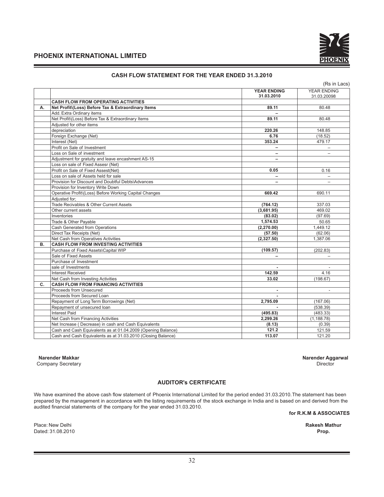

|         |                                                              |                    | (Rs in Lacs)             |
|---------|--------------------------------------------------------------|--------------------|--------------------------|
|         |                                                              | <b>YEAR ENDING</b> | YEAR ENDING              |
|         |                                                              | 31.03.2010         | 31.03.20098              |
|         | <b>CASH FLOW FROM OPERATING ACTIVITIES</b>                   |                    |                          |
| А.      | Net Profit\(Loss) Before Tax & Extraordinary Items           | 89.11              | 80.48                    |
|         | Add. Extra Ordinary items                                    |                    |                          |
|         | Net Profit\(Loss) Before Tax & Extraordinary Items           | 89.11              | 80.48                    |
|         | Adiusted for other items                                     |                    |                          |
|         | depreciation                                                 | 220.26             | 148.85                   |
|         | Foreign Exchange (Net)                                       | 6.76               | (18.52)                  |
|         | Interest (Net)                                               | 353.24             | 479.17                   |
|         | Profit on Sale of Investment                                 |                    |                          |
|         | Loss on Sale of investment                                   |                    |                          |
|         | Adjustment for gratuity and leave encashment AS-15           | $\equiv$           |                          |
|         | Loss on sale of Fixed Assesr (Net)                           |                    |                          |
|         | Profit on Sale of Fixed Assest (Net)                         | 0.05               | 0.16                     |
|         | Loss on sale of Assets held for sale                         |                    | $\overline{\phantom{0}}$ |
|         | Provision for Discount and Doubtful Debts\Advances           |                    |                          |
|         | Provision for Inventory Write Down                           |                    |                          |
|         | Operative Profit\(Loss) Before Working Capital Changes       | 669.42             | 690.11                   |
|         | Adjusted for;                                                |                    |                          |
|         | Trade Recivables & Other Current Assets                      | (764.12)           | 337.03                   |
|         | Other current assets                                         | (3,681.95)         | 469.02                   |
|         | Inventories                                                  | (83.02)            | (97.69)                  |
|         | Trade & Other Payable                                        | 1.574.53           | 50.65                    |
|         | Cash Generated from Operations                               | (2,270.00)         | 1,449.12                 |
|         | Direct Tax Receipts (Net)                                    | (57.50)            | (62.06)                  |
|         | Net Cash from Operatives Activities                          | (2,327.50)         | 1.387.06                 |
| В.      | <b>CASH FLOW FROM INVESTING ACTIVITIES</b>                   |                    |                          |
|         | Purchase of Fixed Assets\Capital WIP                         | (109.57)           | (202.83)                 |
|         | Sale of Fixed Assets                                         |                    |                          |
|         | Purchase of Investment                                       |                    |                          |
|         | sale of Investments                                          |                    |                          |
|         | <b>Interest Received</b>                                     | 142.59             | 4.16                     |
|         | Net Cash from Investing Activities                           | 33.02              | (198.67)                 |
| $C_{1}$ | <b>CASH FLOW FROM FINANCING ACTIVITIES</b>                   |                    |                          |
|         | Proceeds from Unsecured                                      |                    |                          |
|         | Proceeds from Secured Loan                                   |                    |                          |
|         | Repayment of Long Term Borrowings (Net)                      | 2,795.09           | (167.06)                 |
|         | Repayment of unsecured loan                                  |                    | (538.39)                 |
|         | <b>Interest Paid</b>                                         | (495.83)           | (483.33)                 |
|         | Net Cash from Financing Activities                           | 2.299.26           | (1, 188.78)              |
|         | Net Increase (Decrease) in cash and Cash Equivalents         | (8.13)             | (0.39)                   |
|         | Cash and Cash Equivalents as at 01.04.2009 (Opening Balance) | 121.2              | 121.59                   |
|         | Cash and Cash Equivalents as at 31.03.2010 (Closing Balance) | 113.07             | 121.20                   |

### **CASH FLOW STATEMENT FOR THE YEAR ENDED 31.3.2010**

Company Secretary Director Company Secretary Director

**" Pctgpfgt"Ocmmct" Pctgpfgt"Ciictycn**

### **AUDITOR's CERTIFICATE**

We have examined the above cash flow statement of Phoenix International Limited for the period ended 31.03.2010. The statement has been prepared by the management in accordance with the listing requirements of the stock exchange in India and is based on and derived from the audited financial statements of the company for the year ended 31.03.2010.

for R.K.M & ASSOCIATES

Place: New Delhi **Rakesh Mathur The Coverage of the Coverage of the Coverage of the Coverage of the Coverage of the Coverage of the Coverage of the Coverage of the Coverage of the Coverage of the Coverage of the Coverage** Dated: 31.08.2010 **Prop.**